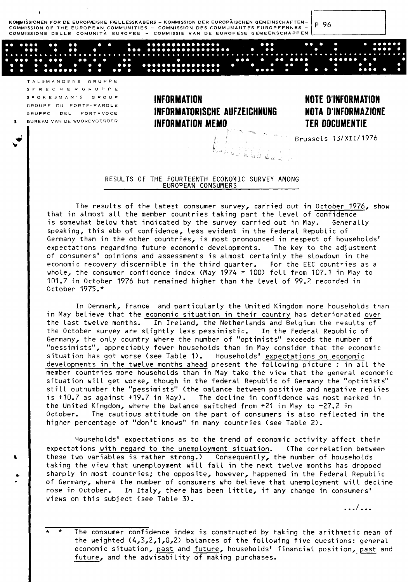KOMMISSIONEN FOR DE EUROPÆISKE FÆLLESSKABERS - KOMMISSION DER EUROPÄISCHEN GEMEINSCHAFTEN-COMMISSION OF THE EUROPEAN COMMUNITIES - COMMISSION DES COMMUNAUTES EUROPEENNES COMMISSIONE DELLE COMUNITÀ EUROPEE - COMMISSIE VAN DE EUROPESE GEMEENSCHAPPEN

P 96

TALSMANDENS GRUPPE SPRECHERGRUPPE SPOKESMAN'S GROUP GROUPE DU PORTE-PAROLE GRUPPO DEL PORTAVOCE BUREAU VAN DE WOORDVOERDER

#### **INFORMATION** INFORMATORISCHE AUFZEICHNUNG **INFORMATION MEMO**

La Luisia.

#### **NOTE D'INFORMATION NOTA D'INFORMAZIONE TER DOCUMENTIE**

Brussels 13/XII/1976

#### RESULTS OF THE FOURTEENTH ECONOMIC SURVEY AMONG EUROPEAN CONSUMERS

The results of the latest consumer survey, carried out in October 1976, show that in almost all the member countries taking part the level of confidence is somewhat below that indicated by the survey carried out in May. Generally speaking, this ebb of confidence, less evident in the Federal Republic of Germany than in the other countries, is most pronounced in respect of households' expectations regarding future economic developments. The key to the adjustment of consumers' opinions and assessments is almost certainly the slowdown in the economic recovery discernible in the third quarter. For the EEC countries as a whole, the consumer confidence index (May  $1974 = 100$ ) fell from  $107.1$  in May to 101.7 in October 1976 but remained higher than the level of 99.2 recorded in 0ctober 1975.\*

In Denmark, France and particularly the United Kingdom more households than in May believe that the economic situation in their country has deteriorated over the last twelve months. In Ireland, the Netherlands and Belgium the results of the October survey are slightly less pessimistic. In the Federal Republic of Germany, the only country where the number of "optimists" exceeds the number of "pessimists", appreciably fewer households than in May consider that the economic situation has got worse (see Table 1). Households' expectations on economic developments in the twelve months ahead present the following picture : in all the member countries more households than in May take the view that the general economic situation will get worse, though in the Federal Republic of Germany the "optimists" still outnumber the "pessimists" (the balance between positive and negative replies is  $+10.7$  as against  $+19.7$  in May). The decline in confidence was most marked in the United Kingdom, where the balance switched from +21 in May to -27.2 in The cautious attitude on the part of consumers is also reflected in the October. higher percentage of "don't knows" in many countries (see Table 2).

Households' expectations as to the trend of economic activity affect their expectations with regard to the unemployment situation. (The correlation between these two variables is rather strong.) Consequently, the number of households taking the view that unemployment will fall in the next twelve months has dropped sharply in most countries; the opposite, however, happened in the Federal Republic of Germany, where the number of consumers who believe that unemployment will decline rose in October. In Italy, there has been little, if any change in consumers' views on this subject (see Table 3).

. . . / . . .

The consumer confidence index is constructed by taking the arithmetic mean of the weighted (4,3,2,1,0,2) balances of the following five questions: general economic situation, past and future, households' financial position, past and future, and the advisability of making purchases.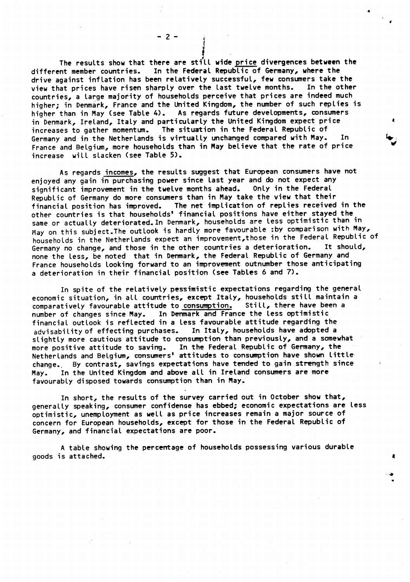The results show that there are still wide price divergences between the In the Federal Republic of Germany, where the different member countries. drive against inflation has been relatively successful, few consumers take the view that prices have risen sharply over the last twelve months. In the other countries, a large majority of households perceive that prices are indeed much higher; in Denmark, France and the United Kingdom, the number of such replies is higher than in May (see Table 4). As regards future developments, consumers in Denmark, Ireland, Italy and particularly the United Kingdom expect price increases to gather momentum. The situation in the Federal Republic of Germany and in the Netherlands is virtually unchanged compared with May. Tn. France and Belgium, more households than in May believe that the rate of price increase will slacken (see Table 5).

As regards incomes, the results suggest that European consumers have not enjoyed any gain in purchasing power since last year and do not expect any significant improvement in the twelve months ahead. Only in the Federal Republic of Germany do more consumers than in May take the view that their financial position has improved. The net implication of replies received in the other countries is that households' financial positions have either stayed the same or actually deteriorated. In Denmark, households are less optimistic than in May on this subject. The outlook is hardly more favourable : by comparison with May, households in the Netherlands expect an improvement, those in the Federal Republic of Germany no change, and those in the other countries a deterioration. It should, none the less, be noted that in Denmark, the Federal Republic of Germany and France households looking forward to an improvement outnumber those anticipating a deterioration in their financial position (see Tables 6 and 7).

In spite of the relatively pessimistic expectations regarding the general economic situation, in all countries, except Italy, households still maintain a Still, there have been a comparatively favourable attitude to consumption. In Denmark and France the Less optimistic number of changes since May. financial outlook is reflected in a less favourable attitude regarding the In Italy, households have adopted a advisability of effecting purchases. slightly more cautious attitude to consumption than previously, and a somewhat more positive attitude to saving. In the Federal Republic of Germany, the Netherlands and Belgium, consumers' attitudes to consumption have shown little change. By contrast, savings expectations have tended to gain strength since In the United Kingdom and above all in Ireland consumers are more May. favourably disposed towards consumption than in May.

In short, the results of the survey carried out in October show that, generally speaking, consumer confidence has ebbed; economic expectations are less optimistic, unemployment as well as price increases remain a major source of concern for European households, except for those in the Federal Republic of Germany, and financial expectations are poor.

A table showing the percentage of households possessing various durable goods is attached.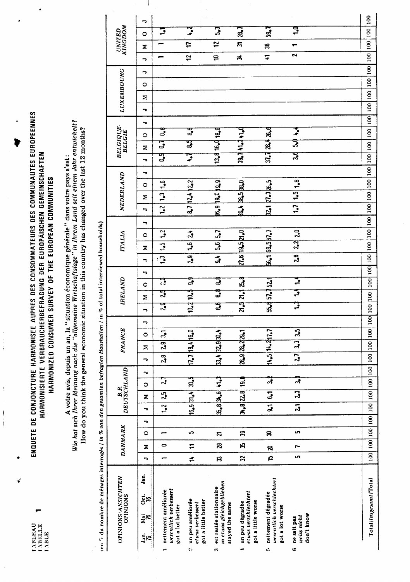ENQUETE DE CONJONCTURE HARMONISEE AUPRES DES CONSOMMATEURS DES COMMUNAUTES EUROPEENNES HARMONISIERTE VERBRAUCHERBEFRAGUNG DER EUROPÄISCHEN GEMEINSCHAFTEN HARMONIZED CONSUMER SURVEY OF THE EUROPEAN COMMUNITIES

计字字

 $\frac{1}{2}$ 

 $\begin{array}{c} \frac{1}{2} \\ \frac{1}{2} \\ \frac{1}{2} \end{array}$ 

∢

A votre avis, depuis un an, la "situation économique générale" dans votre pays s'est:<br>Wie hat sich Ihrer Meinung nach die "allgemeine Wirtschaftslage" in Ihrem Land seit einem Jahr entwickelt?<br>How do you think the general

 $\ddot{\phantom{0}}$  $\frac{1}{2}$ 

| en 7 du nombre de ménages interrogés / in % von den gesamten befragten Haushalten / in % of total interviewed households) |                |              |           |                          |                 |                |                          |                                                           |                |     |                  |   |    |               |                |   |                     |                |                |   |                       |                       |                 |   |                    |                                  |              |   |                   |         |   |                      |                               |           |     |  |
|---------------------------------------------------------------------------------------------------------------------------|----------------|--------------|-----------|--------------------------|-----------------|----------------|--------------------------|-----------------------------------------------------------|----------------|-----|------------------|---|----|---------------|----------------|---|---------------------|----------------|----------------|---|-----------------------|-----------------------|-----------------|---|--------------------|----------------------------------|--------------|---|-------------------|---------|---|----------------------|-------------------------------|-----------|-----|--|
| OPINIONS/ANSICHTEN<br><b>OPINIONS</b>                                                                                     |                | DANMARK      |           |                          |                 |                | B.R.                     | DEUTSCHLAND                                               |                |     | <b>FRANCE</b>    |   |    |               | IRELAND        |   |                     | <b>ITALIA</b>  |                |   |                       |                       | NEDERLAND       |   |                    | <b>BELGIQUE</b><br><b>BELGIE</b> |              |   | <b>LUXEMBOURG</b> |         |   |                      | <b>UNITED</b><br>KINGDOM      |           |     |  |
| Jan.<br>خ<br>چ<br>zäe<br>Z<br>ξe<br>-                                                                                     | ∍              | z            | $\circ$   | $\overline{\phantom{0}}$ | っ               | Σ              | $\circ$                  | ∽                                                         | ∍              | Σ   | $\circ$          | P | ⋼  | Σ             | $\circ$        | ∽ | ∍                   | Σ              | $\circ$        | ∽ | ÷                     | z                     | $\circ$         | ∍ | →                  | Σ                                | ᢛ<br>$\circ$ | 、 | Σ                 | $\circ$ | ⋼ | ¬                    | Σ                             | $\circ$   | ∽   |  |
| uvscutlich verbessert<br>nettement améliorée<br>got a lot better                                                          |                | 0            |           |                          | $\overline{1}$  | 25             | $\overline{\mathcal{N}}$ |                                                           | 28             | 29  | $\overline{a}$   |   | लु | ॢ             | ह              |   | $\ddot{\mathbf{c}}$ | $\overline{5}$ | 1.2            |   | 1.2                   | $\frac{1}{2}$         | $\frac{1.6}{1}$ |   | $\mathbf{S}$       | ॗॎ                               | ुँ           |   |                   |         |   |                      |                               |           | ᠊ᢩᠴ |  |
| un peu améliorée<br>got a little better<br>etuas verbessert<br>çi                                                         | ≠              | $\mathbf{r}$ | ဂ         |                          |                 | $16.934 +$     | ន្តី                     |                                                           |                |     | 12.718.416.0     |   |    | 10.4 10.5     | $\mathfrak{F}$ |   | 2,9                 | $\overline{5}$ | 2 <sup>4</sup> |   | a <sub>1</sub>        | $12 + 122$            |                 |   | $\mathbf{F}$       | दु                               | ुद्ध         |   |                   |         |   | $\overline{r}$<br>÷, | H                             |           | ૢૻ  |  |
| in et was gleichgeblieben<br>est restée stationnaire<br>stayed the same<br>e,                                             | ສ              | 28           | Z         |                          |                 | 3.8 3.6 1.1    |                          |                                                           |                |     | $33.4$ 32.9 30.4 |   | दु | $\frac{8}{3}$ | $\frac{a}{d}$  |   | $\frac{4}{5}$       | 5.6   5.7      |                |   | 16.9 19.0 19.9        |                       |                 |   | 13.4 16.4 18.4     |                                  |              |   |                   |         |   | å                    | $\overline{12}$               |           | ္ဟ  |  |
| etuas verschlechtert<br>got a little worse<br>un peu dégradée                                                             | 32             | 18           | వి        |                          |                 | 34.8 22.8      | 39.0                     |                                                           |                |     | 28.9 28.2 29.1   |   |    |               | 21.521,12.3    |   | 27.6 19.5 21.0      |                |                |   | <b>Ba.4</b> Ba.5 Ba.0 |                       |                 |   | $39.7 + 1.4 + 1.0$ |                                  |              |   |                   |         |   | ಸೆ                   | $\overline{\boldsymbol{\pi}}$ | $\vec{a}$ |     |  |
| uesentlich verschlechtert<br>nettement dégradée<br>got a lot worse<br>ć,                                                  | $\mathfrak{p}$ | R            | 8         |                          | $\overline{5}$  | $\overline{5}$ |                          | $\boldsymbol{\ddot{\pi}}$                                 |                |     | 14.5 14.417.7    |   |    | 55.6 57.7 52. |                |   | 56.1 69.5 67.7      |                |                |   | 32.1   27.3   26.5    |                       |                 |   | 37.728.426.6       |                                  |              |   |                   |         |   | $\overline{4}$       | జ                             | 59.7      |     |  |
| don't know<br>uviss nicht<br>ne sait pas<br>ć                                                                             | <u>in</u>      | Ē            | <b>in</b> |                          | $\overline{21}$ | $\overline{a}$ |                          | द्भ                                                       | $\overline{5}$ | 3.3 | 3.5              |   | ፫  | ₿             | $\mathbf{r}$   |   | 26                  | 22             | 20             |   |                       | $1.7$   $1.5$   $1.8$ |                 |   | र्म                | $\mathfrak{F}$                   | Į            |   |                   |         |   |                      | 2                             |           | ट्ट |  |
|                                                                                                                           |                |              |           |                          |                 |                |                          |                                                           |                |     |                  |   |    |               |                |   |                     |                |                |   |                       |                       |                 |   |                    |                                  |              |   |                   |         |   |                      |                               |           |     |  |
| Total/Insgesamt/Total                                                                                                     |                |              |           |                          |                 |                |                          | 100   100   100   100   100   100   100   100   100   100 |                |     | 100              |   |    |               |                |   |                     |                |                |   |                       |                       |                 |   |                    |                                  |              |   |                   |         |   |                      |                               |           |     |  |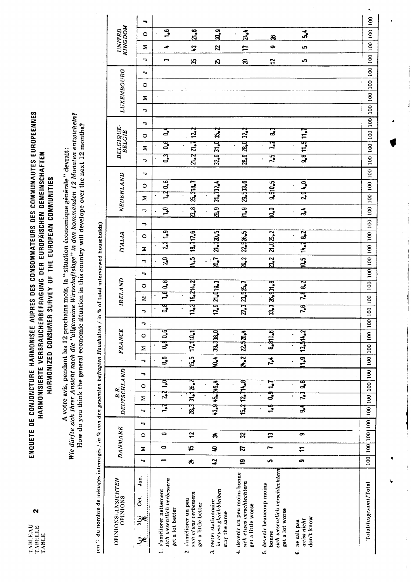$\mathbf{\Omega}$ 

## ENQUETE DE CONJONCTURE HARMONISEE AUPRES DES CONSOMMATEURS DES COMMUNAUTES EUROPEENNES HARMONISIERTE VERBRAUCHERBEFRAGUNG DER EUROPÄISCHEN GEMEINSCHAFTEN HARMONIZED CONSUMER SURVEY OF THE EUROPEAN COMMUNITIES

A votre avis, pendant les 12 prochains mois, la "situation économique générale" devrait:<br>Wie dürfte sich Ihrer Ansicht nach die "allgemeine Wirtschaftslage" in den kommenden 12 Monaten entwickeln?<br>How do you think the gene

 $\ddot{\cdot}$  $\mathbf{r}$ ŀ,  $\cdots$   $\alpha$  $\ddot{ }$ j  $\ddot{\tau}$ 

|                                         | F              |                                              |                                                                          |                                                                   |                                                            |                                                       |                                                    |                                                                                                                |
|-----------------------------------------|----------------|----------------------------------------------|--------------------------------------------------------------------------|-------------------------------------------------------------------|------------------------------------------------------------|-------------------------------------------------------|----------------------------------------------------|----------------------------------------------------------------------------------------------------------------|
| <b>KINGDOM</b>                          | $\circ$        | 1,6                                          | $ z_0$                                                                   | $\mathbf{a}$ .g                                                   | 24.4                                                       | 8                                                     | ふ                                                  | oo   100   100   100   100   100   100   100   100   100   100   100   100   100   100   100   100   100   100 |
| <b>UNITED</b>                           | Σ              |                                              | $\boldsymbol{z}$                                                         | 22                                                                | Ħ                                                          | တ                                                     | မာ                                                 |                                                                                                                |
|                                         | ⇁              | $\sim$                                       | B                                                                        | $\boldsymbol{\kappa}$                                             | R                                                          | 12                                                    | S.                                                 |                                                                                                                |
|                                         | ∽              |                                              |                                                                          |                                                                   |                                                            |                                                       |                                                    |                                                                                                                |
|                                         | $\circ$        |                                              |                                                                          |                                                                   |                                                            |                                                       |                                                    |                                                                                                                |
| LUXEMBOURG                              | Σ              |                                              |                                                                          |                                                                   |                                                            |                                                       |                                                    |                                                                                                                |
|                                         | ∍              |                                              |                                                                          |                                                                   |                                                            |                                                       |                                                    |                                                                                                                |
|                                         | ⊸              |                                              |                                                                          |                                                                   |                                                            |                                                       |                                                    |                                                                                                                |
| <b>BELGIQUE</b><br><b>BELGIË</b>        | $\circ$        | 3                                            | $\frac{12}{4}$                                                           | 32.6 31.9 35.7                                                    | 28.6 28.0 32.7                                             | ु                                                     | 9.811.511.7                                        |                                                                                                                |
|                                         | Σ              | डु                                           | 2.421.7                                                                  |                                                                   |                                                            | 74<br>7                                               |                                                    |                                                                                                                |
|                                         | ᠇              | त्र<br>०                                     |                                                                          |                                                                   |                                                            | $\overline{5}$                                        |                                                    |                                                                                                                |
|                                         | P              |                                              |                                                                          |                                                                   |                                                            |                                                       |                                                    |                                                                                                                |
|                                         | $\circ$        | 1.30.8                                       | 2.318.7                                                                  | 31.7324                                                           | 29,533.6                                                   | 9.510.5                                               | $2.9 + 0$                                          |                                                                                                                |
| NEDERLAND                               | Σ              |                                              |                                                                          |                                                                   |                                                            |                                                       |                                                    |                                                                                                                |
|                                         | ⋼              | ္                                            | ន<br>នឹ                                                                  | $\mathbb{Z}^{9}$                                                  | $\mathbf{h}_{\bullet}$ g                                   | $\frac{1}{2}$                                         | $\vec{r}$                                          |                                                                                                                |
|                                         | ∍              |                                              |                                                                          |                                                                   |                                                            |                                                       |                                                    |                                                                                                                |
| <b>ITALIA</b>                           | $\circ$        | 2.319                                        | 14.5   18.717.5                                                          | 21.32.5                                                           | 22,526.5                                                   | 2.02.2                                                | 14.2 8.2                                           |                                                                                                                |
|                                         | Σ              |                                              |                                                                          |                                                                   |                                                            |                                                       |                                                    |                                                                                                                |
|                                         | ⇁              | 2 <sub>0</sub>                               |                                                                          | $\vec{a}$                                                         | $\frac{2}{3}$                                              | $\vert \mathbb{Z}^2 \vert$                            | 10.5                                               |                                                                                                                |
| / in % of total interviewed households) | ∽              |                                              |                                                                          |                                                                   |                                                            |                                                       |                                                    |                                                                                                                |
| IRELAND                                 | $\circ$        | 1.9 <sup>0.8</sup>                           |                                                                          |                                                                   |                                                            |                                                       | 7.88.2                                             |                                                                                                                |
|                                         | Σ              |                                              | 13.213.214.2                                                             | 17.927.019.3                                                      | 27.3 23.52.7                                               | 33.372.31.8                                           |                                                    |                                                                                                                |
|                                         | F              | $\mathbf{a}$                                 |                                                                          |                                                                   |                                                            |                                                       | 7.6                                                |                                                                                                                |
|                                         | ∽              |                                              |                                                                          |                                                                   |                                                            |                                                       |                                                    |                                                                                                                |
| <b>FRANCE</b>                           | $\circ$        | 0.4 0.6                                      | 17.110.1                                                                 | 39, 38, 0                                                         | 22,526.4                                                   | 6.810.6                                               | 13.514.2                                           |                                                                                                                |
|                                         | Σ              |                                              |                                                                          |                                                                   |                                                            |                                                       |                                                    |                                                                                                                |
|                                         | Ŀ              | $\overline{\mathbf{c}}$                      | $\frac{1}{2}$                                                            | $\frac{1}{2}$                                                     | $\frac{2}{\alpha}$                                         | $\ddot{5}$                                            | $\frac{9}{2}$                                      | 00    00    00    00    00    00    00    00    00    00    00    00    00    00    00    00    0              |
| DEUTSCHLAND                             | ⇁              |                                              |                                                                          |                                                                   |                                                            |                                                       | ु<br>अ                                             |                                                                                                                |
| B.R.                                    | $\circ$        | $2.1 - 0$                                    | 28.331.65                                                                | 43.945.246.4                                                      | 15.212.714.8                                               | <b>C-1 e-0</b>                                        | 2                                                  |                                                                                                                |
|                                         | Σ              | $\mathbf{1}$                                 |                                                                          |                                                                   |                                                            | $\frac{1}{2}$                                         | र्द्ध                                              |                                                                                                                |
|                                         | ⇁              |                                              |                                                                          |                                                                   |                                                            |                                                       |                                                    |                                                                                                                |
|                                         | ÷<br>$\circ$   | 0                                            | $\overline{\mathbf{r}}$                                                  | 孨                                                                 | $\mathbf{z}$                                               | $\mathfrak{D}$                                        | ာ                                                  |                                                                                                                |
| <b>DANMARK</b>                          |                | 0                                            | 15                                                                       |                                                                   |                                                            | r                                                     |                                                    |                                                                                                                |
|                                         | Ξ<br>ь         | -                                            |                                                                          | ş                                                                 | $\mathbf{z}$                                               | <b>in</b>                                             | $\mathbf{r}$<br>$\bullet$                          |                                                                                                                |
|                                         |                |                                              | Ŕ,                                                                       | $\boldsymbol{\ddot{2}}$                                           | e,                                                         |                                                       |                                                    |                                                                                                                |
| OPINIONS/ANSICHTEN<br>OPINIONS          | Jan.<br>δť.    | sich wesentlich verbessern                   |                                                                          |                                                                   | 4. devenir un peu moins bonne<br>sich etwas verschlechtern | sich wesentlich verschlechtern                        |                                                    | Total/Insgesamt/Total                                                                                          |
|                                         | ्र<br>द<br>ع≩ً | 1. s'améliorer nettement<br>get a lot better | sich etuas verbessern<br>s'améliorer un peu<br>get a little better<br>еì | in ctwas gleichbleiben<br>3. rester stationnaire<br>stay the same | get a little worse                                         | 5. devenir beaucoup moins<br>get a lot worse<br>bonne | don't know<br>uviss nicht<br>ne sait pas<br>ن<br>ت |                                                                                                                |

 $\ddot{\phantom{0}}$ 

 $\frac{1}{2}$ 

 $\frac{1}{2}$ 

J

 $\mathbf{i}$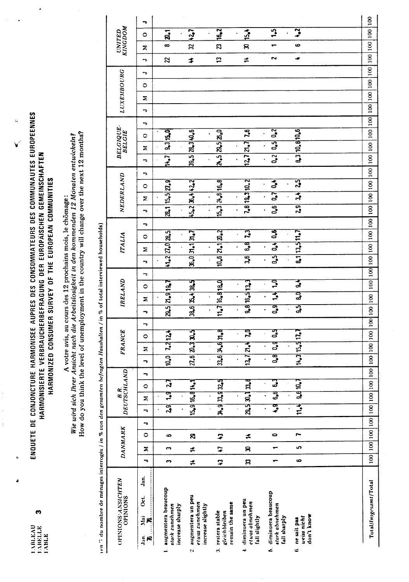**LABLEAU**<br>LABELLE<br>LABLE

 $\boldsymbol{\omega}$ 

## ENQUETE DE CONJONCTURE HARMONISEE AUPRES DES CONSOMMATEURS DES COMMUNAUTES EUROPEENNES HARMONISIERTE VERBRAUCHERBEFRAGUNG DER EUROPÄISCHEN GEMEINSCHAFTEN HARMONIZED CONSUMER SURVEY OF THE EUROPEAN COMMUNITIES

 $\begin{array}{c} 1 \\ 1 \\ 1 \end{array}$ 

 $\ddot{\phantom{0}}$ 

ă

l,

 $\ddot{\mathbf{c}}$ 

A votre avis, an cours des 12 prochains mois, le chômage:<br>Wie wird sich Ihrer Ansicht nach die Arbeitslosigkeit in den kommenden 12 Monaten entwickeln?<br>How do you think the level of unemployment in the country will change

| OPINIONS/ANSICHTEN<br><b>OPINIONS</b>                              |                          |   | DANMARK  |    |                          | B.R.     | DEUTSCHLAND  |                   |                         | FRANCE               |         |     | IRELAND              |   |                                                                           | <b>ITALIA</b>    |              |   |                         |                | NEDERLAND      |                   |          | <b>BELGIQUE-</b><br><b>BELGIE</b> |   |   | LUXEMBOURG |         |   |                  |    | <b>UNITED</b><br>KINGDOM |   |
|--------------------------------------------------------------------|--------------------------|---|----------|----|--------------------------|----------|--------------|-------------------|-------------------------|----------------------|---------|-----|----------------------|---|---------------------------------------------------------------------------|------------------|--------------|---|-------------------------|----------------|----------------|-------------------|----------|-----------------------------------|---|---|------------|---------|---|------------------|----|--------------------------|---|
| Jan.<br>ટાં<br><b>ER</b><br>Jan.<br>١2                             | ∽                        | Σ | $\circ$  | ۰, | $\overline{\phantom{a}}$ | Σ        | ∍<br>$\circ$ | F                 | Σ                       | $\circ$              | ⇁       | Σ   | $\circ$              | ÷ | ⇁                                                                         | Σ                | $\circ$      | ヮ | ∽                       | Σ              | ∍<br>$\circ$   | っ                 | Σ        | $\circ$                           | ÷ | っ | Σ          | $\circ$ | ∽ | F                | Σ  | 0                        | P |
| augmentera beaucoup<br>sturk zunehmen<br>increase sharply<br>j.    | m                        | ∾ | ဖ        |    | 2,9                      | य़       | 27           | $\overline{10.0}$ |                         | 7.2124               |         |     | 29.5   21.9   19.7   |   | 41.2 21.0 28.5                                                            |                  |              |   | 28.1 15.5 27.9          |                |                | $\overline{14.7}$ |          | 9.3 15.0                          |   |   |            |         |   | $\boldsymbol{z}$ | œ  | a <sub>1</sub>           |   |
| augmentera un peu<br>etuas zunehmen<br>increase slightly<br>οi     | $\div$                   | ≠ | <b>S</b> |    | 15.9 16.8 14.1           |          |              |                   |                         | 27.6   20.3   30.5   |         |     | 38.6 35.4 38.5       |   | $\mathfrak{F}_{\bullet}0 \mathfrak{H}_{\bullet}1 \mathfrak{H}_{\bullet}7$ |                  |              |   | 45.2 36.4 42.2          |                |                |                   |          | 39.5 28.3 40.6                    |   |   |            |         |   | \$               | 32 | 12.7                     |   |
| remain the same<br>restera stable<br>gleichbleiben<br>$\mathbf{r}$ | 7                        | 2 | 7        |    | 34.9 33.9 32.5           |          |              |                   |                         | $33.6$ $34.6$ $31.8$ |         |     | $11.7$ $16.8$ $18.0$ |   | 10.6 21.1 20.2                                                            |                  |              |   | $15.3$ $24.6$ $16.8$    |                |                |                   |          | 2.5 2.5 2.5                       |   |   |            |         |   | \$               | g  | $\frac{162}{2}$          |   |
| diminuera un peu<br>et uas abnehmen<br>fall slightly<br>÷          | ន                        | ន | ≠        |    | 29.5 30.1 33.8           |          |              |                   | 13.7   27.4             | 5ż                   |         |     | 9.816.513.3          |   | 3,6                                                                       | ය<br>ය           | $\mathbf{z}$ |   | 7.8 19.3 10.2           |                |                |                   | 12.7 2.7 | $\overline{16}$                   |   |   |            |         |   | ≠                | ន  | 15.4                     |   |
| diminuera beaucoup<br>stark abnehmen<br>fall sharply<br>k.         | $\overline{\phantom{0}}$ |   | 0        |    | ិ÷្                      | ទី<br>ទី | ္မွ          |                   | $\overline{\mathbf{a}}$ | ្ស<br>ਰ<br>੦ੰ        | ្ញឹ     | 3   | ဒ့                   |   | 0,5                                                                       | $\overline{0.4}$ | $\mathbf{e}$ |   | $\overline{\mathbf{e}}$ | $\overline{c}$ | $\overline{3}$ |                   | 0,2      | $\overline{c}$<br>$\overline{c}$  |   |   |            |         |   | $\sim$           |    | $\overline{5}$           |   |
| don't know<br>ueiss nicht<br>ne sait pas<br>ف                      | 6                        | ഗ | ſ        |    | 1.4                      | 9.610.7  |              |                   |                         | $14.3$ 15.5 17.7     | 5)<br>9 | ್ವಾ | र्दे                 |   |                                                                           | 8.1 13.5 11.7    |              |   | $\overline{2,9}$        | 34             | $\overline{3}$ |                   |          | 8.3 10.8 10.6                     |   |   |            |         |   | ≁                | ڡ  | $\mathbf{r}$             |   |
|                                                                    |                          |   |          |    |                          |          |              |                   |                         |                      |         |     |                      |   |                                                                           |                  |              |   |                         |                |                |                   |          |                                   |   |   |            |         |   |                  |    |                          |   |
| Total/Insgesumt/Total                                              |                          |   |          |    |                          |          |              |                   |                         |                      |         |     |                      |   |                                                                           |                  |              |   |                         |                |                |                   |          |                                   |   |   |            |         |   | 100 100 100 100  |    |                          |   |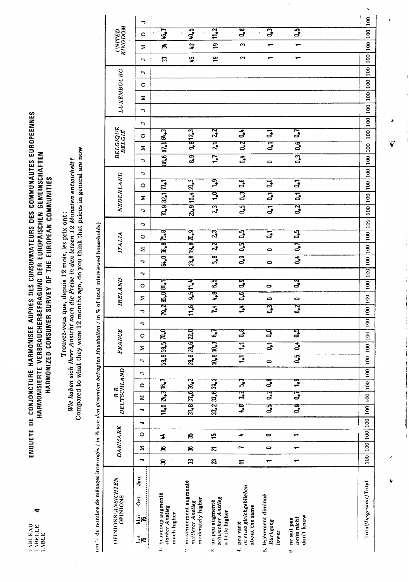₹

## ENQUETE DE CONJONCTURE HARMONISEE AUPRES DES CONSOMMATEURS DES COMMUNAUTES EUROPEENNES<br>HARMONISIERTE VERBRAUCHERBEFRAGUNG DER EUROPÄISCHEN GEMEINSCHAFTEN HARMONIZED CONSUMER SURVEY OF THE EUROPEAN COMMUNITIES

Trouvez-vous que, depuis 12 mois, les prix ont :<br>Wie haben sich Ihrer Ansicht nach die Preise in den letzen 12 Monaten entwickelt?<br>Compared to what they were 12 months ago, do you think that prices in general are now

|                                | r,                              |                                                        |                                                                 |                                                         |                                                        |                                                   |                                          | $\mathbf{S}$                                                                                                  |
|--------------------------------|---------------------------------|--------------------------------------------------------|-----------------------------------------------------------------|---------------------------------------------------------|--------------------------------------------------------|---------------------------------------------------|------------------------------------------|---------------------------------------------------------------------------------------------------------------|
|                                | $\circ$                         | $\mathbf{z}$                                           | $\frac{5}{4}$                                                   | 11.2                                                    | $\overline{\mathbf{a}}$                                | $\overline{a}$                                    | $\overline{\mathbf{3}}$                  |                                                                                                               |
| <b>KINGDOM</b><br>UNITED       | Σ                               | ಕ್ರ                                                    | $\boldsymbol{\mathcal{Z}}$                                      | <u>ဗ</u>                                                | m                                                      |                                                   |                                          |                                                                                                               |
|                                | ÷                               | 33                                                     | 4                                                               | \$                                                      | 2                                                      | ↽                                                 | ↽                                        |                                                                                                               |
|                                | ¬                               |                                                        |                                                                 |                                                         |                                                        |                                                   |                                          |                                                                                                               |
| <b>LUXEMBOURG</b>              | $\circ$                         |                                                        |                                                                 |                                                         |                                                        |                                                   |                                          |                                                                                                               |
|                                | Σ                               |                                                        |                                                                 |                                                         |                                                        |                                                   |                                          |                                                                                                               |
|                                | ⇒                               |                                                        |                                                                 |                                                         |                                                        |                                                   |                                          |                                                                                                               |
|                                | ᠊ᢇ                              |                                                        |                                                                 |                                                         |                                                        |                                                   |                                          |                                                                                                               |
| <b>BELGIQUE</b><br>BELGIE      | $\circ$                         |                                                        | 9.812.3                                                         | $\mathbf{z}$                                            |                                                        | $\overline{5}$                                    | 0.7                                      |                                                                                                               |
|                                | Σ                               |                                                        |                                                                 | $\overline{5}$                                          | $0.2 \, 0.4$                                           | $\overline{\mathbf{5}}$                           | $\overline{\mathbf{e}}$                  |                                                                                                               |
|                                | ∽                               | 88.6 87.1 86.3                                         | $\mathbf{a}$                                                    | $\mathbf{r}$                                            | $\overline{5}$                                         | $\circ$                                           | $\overline{\mathbf{S}}$                  |                                                                                                               |
|                                | っ                               |                                                        |                                                                 |                                                         |                                                        |                                                   |                                          |                                                                                                               |
| NEDERLAND                      | $\circ$                         |                                                        |                                                                 | $\frac{9}{2}$                                           | $\mathbf{0.6}$                                         |                                                   | $\overline{5}$                           |                                                                                                               |
|                                | Σ                               |                                                        |                                                                 | $\mathbf{P}$                                            | 0.3                                                    | $0.1 \ 0.0$                                       | $\overline{\mathbf{5}}$                  |                                                                                                               |
|                                | ¬                               | 70.982.177.1                                           | 2.9 16.4 20.3                                                   | 23                                                      | $\overline{5}$                                         | $\overline{\mathbf{5}}$                           | $\overline{c}$                           |                                                                                                               |
|                                | ᠇                               |                                                        |                                                                 |                                                         |                                                        |                                                   |                                          |                                                                                                               |
|                                | $\circ$                         |                                                        |                                                                 | $\mathbf{z}$                                            | $\mathbf{5}$                                           | $\overline{5}$                                    | ٥,5                                      |                                                                                                               |
| <b>ITALIA</b>                  | Σ                               | 64.0   76.8   75.8                                     | 28.8 19.8 20.9                                                  | 24                                                      | ្វឹ                                                    | $\circ$                                           | 5 <sub>o</sub>                           |                                                                                                               |
|                                | ᠇                               |                                                        |                                                                 | 5.8                                                     | $\overline{a}$                                         | $\bullet$                                         | $\overline{5}$                           |                                                                                                               |
|                                | ∍                               |                                                        |                                                                 |                                                         |                                                        |                                                   |                                          |                                                                                                               |
|                                | $\circ$                         |                                                        |                                                                 | $\mathbf{5}$                                            | $\mathbf{a}$                                           | $\bullet$                                         | ुर                                       |                                                                                                               |
| IRELAND                        | Σ                               | $79.2 \mathfrak{E}_{2.0} \mathfrak{A}_{1.1}$           | 9.5 11.4                                                        | $\mathbb{R}^4$                                          | $\mathbf{e}_\mathbf{0}$                                | $\bullet$                                         | $\bullet$                                |                                                                                                               |
|                                | ∍                               |                                                        | 11.6                                                            | $\overline{r^4}$                                        | $\overline{\mathbf{z}}$                                | $\overline{3}$                                    | $\overline{a}$                           | 00 100 100                                                                                                    |
|                                | ¬                               |                                                        |                                                                 |                                                         |                                                        |                                                   |                                          |                                                                                                               |
|                                | 0                               |                                                        |                                                                 | $\mathbf{5}$                                            | $\mathbf{e}^{\mathbf{g}}$                              | o<br>d                                            | ្សី<br>ទី                                |                                                                                                               |
| <b>FRANCE</b>                  | Σ                               |                                                        |                                                                 |                                                         | $\mathbf{z}$                                           | $\overline{s}$                                    | र्ड                                      |                                                                                                               |
|                                | ᠊ᢇ                              | 58.8 59.5 70.0                                         | 23.8   28.6   22.0                                              | 10.810.3                                                | $\mathbf{L}$                                           | $\bullet$                                         | $\overline{0,5}$                         |                                                                                                               |
|                                | ÷                               |                                                        |                                                                 |                                                         |                                                        |                                                   |                                          |                                                                                                               |
|                                | $\circ$                         |                                                        |                                                                 |                                                         | <b>33</b>                                              | $\mathbf{e}^{\mathbf{g}}$                         | $\frac{1}{2}$                            |                                                                                                               |
| B.R.                           | Σ                               |                                                        |                                                                 |                                                         | 3, 7                                                   | $\mathbf{a}$                                      | $\mathbf{5}$                             |                                                                                                               |
| DEUTSCHLAND                    | ∍                               | 18.6   24.3   16.7                                     | 37.837.6336.4                                                   | $37.2$ $33.6$ $39.2$                                    | $\ddot{\bm{s}}$                                        | $\mathbf{a}$                                      | ි<br>්                                   |                                                                                                               |
|                                | J,                              |                                                        |                                                                 |                                                         |                                                        |                                                   |                                          |                                                                                                               |
|                                | $\circ$                         | \$                                                     | 8                                                               | ٣,                                                      |                                                        | $\bullet$                                         |                                          |                                                                                                               |
| <b>DANMARK</b>                 | Σ                               | g                                                      | 8                                                               | Z                                                       |                                                        | 0                                                 |                                          |                                                                                                               |
|                                | F                               | ສ                                                      | $\boldsymbol{\Xi}$                                              | Z                                                       | $\mathrel{\mathop:}=$                                  | ↽                                                 | ⊷                                        | 100   100   100   100   100   100   100   100   100   100   100   100   100   100   100   100   100   100   1 |
|                                |                                 |                                                        |                                                                 |                                                         |                                                        |                                                   |                                          |                                                                                                               |
| OPINIONS/ANSICHTEN<br>OPINIONS | Jan.<br>Öct.<br>Ξe<br>_∈<br>⊸¦e | 1. beaucoup augmenté<br>starker Anstieg<br>much higher | 2 movemement augmenté<br>moderately higher<br>mittlerer Anstieg | schuacher Anstieg<br>un peu augmenté<br>a little higher | m et wa gleichgeblieben<br>about the same<br>peu varié | 5. légèrement diminué<br><b>Rückgang</b><br>lower | don't know<br>uviss nicht<br>ne sait pas | Total/Insgesamt/Total                                                                                         |

 $\frac{1}{4}$ 

 $\frac{1}{2}$ 

 $\ddot{\phantom{0}}$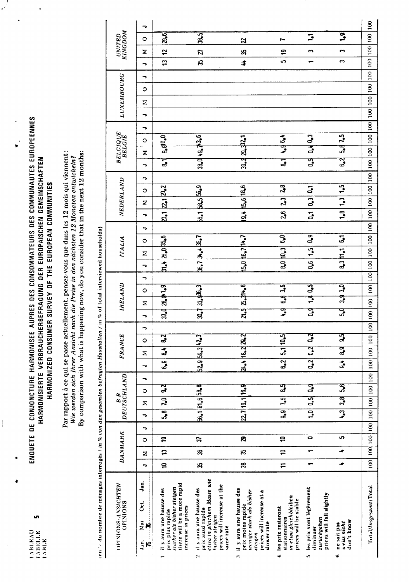un.

**LABLEAU**<br>TABELLE<br>TABLE

 $\vdots$ 

ENQUETE DE CONJONCTURE HARMONISEE AUPRES DES CONSOMMATEURS DES COMMUNAUTES EUROPEENNES HARMONISIERTE VERBRAUCHERBEFRAGUNG DER EUROPÄISCHEN GEMEINSCHAFTEN HARMONIZED CONSUMER SURVEY OF THE EUROPEAN COMMUNITIES

 $\frac{1}{\sqrt{2}}$ 

 $\ddot{\phantom{0}}$ 

 $\ddot{\phantom{0}}$ 

Par rapport à ce qui se passe actuellement, pensez-vous que dans les 12 mois qui viennent:<br>Wie werden sich Ihrer Ansicht nach die Preise in den nachsten 12 Monaten entwickeln? By comparison with what is happening now, do you consider that in the next 12 months:

(en ', du nombre de ménages interrogés *l'in* % von den gesamten befragten Haushalten / in % of total interviewed households)

|                                                                                                                                                        |              |                |           |   | ć                       |                         |                      |                |                                     |                         |   |              |   |               |   |     |                  |                |   |                |                           |              |   |                     |               |                            |   |   |            |   |   |                         |                          |                         |    |
|--------------------------------------------------------------------------------------------------------------------------------------------------------|--------------|----------------|-----------|---|-------------------------|-------------------------|----------------------|----------------|-------------------------------------|-------------------------|---|--------------|---|---------------|---|-----|------------------|----------------|---|----------------|---------------------------|--------------|---|---------------------|---------------|----------------------------|---|---|------------|---|---|-------------------------|--------------------------|-------------------------|----|
| OPINIONS/ANSIGHTEN<br>OPINIONS                                                                                                                         |              | <b>DANMARK</b> |           |   |                         | B.R.                    | DEUTSCHLAND          |                |                                     | <b>FRANCE</b>           |   |              |   | IRELAND       |   |     |                  | <b>ITALIA</b>  |   |                | NEDERLAND                 |              |   |                     |               | <b>BELGIQUE-</b><br>BELGIE |   |   | LUXEMBOURG |   |   |                         | <b>UNITED</b><br>KINGDOM |                         |    |
| Jan.<br>ğ<br>Йä<br>æ<br>Jan.<br>R                                                                                                                      | 、            | Σ              | 0         | ⇁ | ⋻                       | Σ                       | ¬<br>0               | ∽              | Σ                                   | 0                       | ¬ | ∽            | Σ | 0             | ⇁ | ∽   | Σ                | 0              | ∍ | ∍              | Σ                         | 0            | ∽ | ⊸                   | Σ             | $\circ$                    | っ | ¬ | Ξ          | 0 | ⋻ | ∍                       | Σ                        | 0                       | ۰, |
| there will be a more rapid<br>starker als bisher steigen<br>1. il y aura une hausse des<br>increase in prices<br>prix plus rapide                      | $\mathbf{a}$ | $\mathbf{r}$   | ុ<br>ស    |   | 5.8                     | $\overline{\mathbf{r}}$ | $\mathbf{a}$         | 6.9            | $\frac{1}{\alpha}$                  | $\overline{\mathbf{3}}$ |   |              |   | 37.028.91.9   |   |     | 31.4  26.0  35.6 |                |   |                | [2.1   2.1   2.2]         |              |   | $\overline{\bm{3}}$ |               | 9.80.0                     |   |   |            |   |   | $\overline{\mathbf{c}}$ | $\mathbf{r}$             | 2.5                     |    |
| etua in gleichem Masse wie<br>prices will increase at the<br>il y aura une hausse des<br>prix aussi rapide<br><b>hisher steigen</b><br>same rate<br>ż١ | ఴ            | 8              | E         |   | 56.1 61.6 58.8          |                         |                      |                | 529 59.3 42.3                       |                         |   |              |   | 30.73363      |   |     | [36.7]34.4]36.7  |                |   |                | 6.1 B&5 56.9              |              |   |                     | 38.0 49. 73.6 |                            |   |   |            |   |   | Ŗ                       | Z                        | 38.5                    |    |
| il y aura une hausse des<br>uvniger stark als bisher<br>prices will increase at a<br>prix moins rapide<br>slower rate<br>aleigen<br>÷                  | ౙ            | B              | ଅ         |   | 22.7 19.1 16.9          |                         |                      |                | 24.4 18.2 29.2                      |                         |   |              |   | 21.5 25.714.8 |   |     | 15.0 16.7 14.7   |                |   | $\frac{1}{9}$  | 15.6 18.6                 |              |   |                     | 39.2 29.32.1  |                            |   |   |            |   |   | \$                      | $\mathcal{L}$            | $\overline{a}$          |    |
| in etwa gleichbleiben<br>prices will be stable<br>les prix resteront<br>stationnaires                                                                  | $\pm$        | ₽              | S         |   | 9.9                     | $\overline{c}$          | ुन                   | 6.2            |                                     | 5.1 10.5                |   | $\mathbf{r}$ |   | 6.83.6        |   |     | 8.0 10.3         | 6.0            |   | 26             | 2 <sub>3</sub>            | 2.8          |   | $\overline{3}$      |               | $4.96 - 1$                 |   |   |            |   |   | <u>in</u>               | $\ddot{ }$               | r                       |    |
| les prix vont légèrement<br>prices will fall slightly<br>zurückgehen<br>diminuer<br>Ġ,                                                                 | ↽            |                | $\bullet$ |   | $\overline{1.0}$        | ផ្                      | $\mathbf{a}_\bullet$ | $\mathbf{0.2}$ | $\begin{bmatrix} 0.2 \end{bmatrix}$ | $\frac{2}{3}$           |   | ្វី          |   | 1.40.5        |   | 0,6 | 1.5              | $0_{\bullet}9$ |   | $\overline{a}$ | $\overline{\phantom{0}3}$ | $\mathbf{5}$ |   | $5\frac{1}{2}$      |               | 0.40.3                     |   |   |            |   |   | ┯                       | S                        | $\mathbf{L}$            |    |
| don't know<br>uviss nicht<br>ne sait pas<br>¢                                                                                                          |              |                | ဖာ        |   | $\overline{\mathbf{S}}$ | 3,8                     | <u>ន្</u>            | $\overline{d}$ | $\overline{a}$                      | द्भ                     |   | ្លុ          |   | 3.9 3.0       |   |     | 8.3 11.1         | $\mathbf{5}$   |   | $\frac{1}{2}$  | $\frac{1}{2}$             | 1.5          |   | 5 <sup>2</sup>      |               | 5.813                      |   |   |            |   |   | S                       | ∾                        | $\overline{\mathbf{S}}$ |    |
| Total/Insgesamt/Total                                                                                                                                  |              |                |           |   |                         |                         |                      |                |                                     |                         |   |              |   |               |   |     |                  |                |   |                |                           |              |   |                     |               |                            |   |   |            |   |   |                         |                          |                         |    |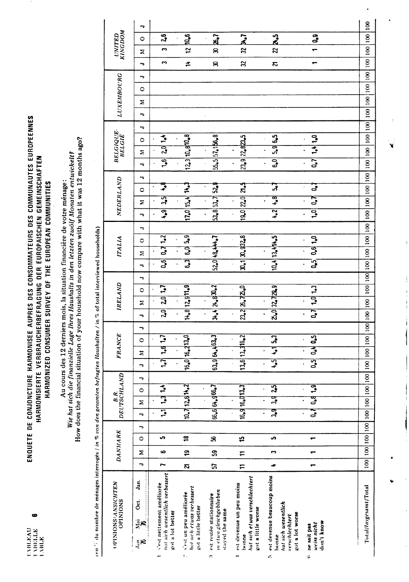œ

## ENQUETE DE CONJONCTURE HARMONISEE AUPRES DES CONSOMMATEURS DES COMMUNAUTES EUROPEENNES HARMONISIERTE VERBRAUCHERBEFRAGUNG DER EUROPÄISCHEN GEMEINSCHAFTEN HARMONIZED CONSUMER SURVEY OF THE EUROPEAN COMMUNITIES

How does the financial situation of your household now compare with what it was 12 months ago? Wie hat sich die finanzielle Lage Ihres Haushalts in den letzten zwölf Monaten entwickelt? Au cours des 12 derniers mois, la situation financière de votre ménage:

een 75 du nombre de mênages interrogés / in % von den gesomten befragten Haushalten / in % of total interviewed households)

|                                | ⋼                           |                                                                                 |                                                                            |                                                                      |                                                                                           |                                                                                                        |                                          |                       |
|--------------------------------|-----------------------------|---------------------------------------------------------------------------------|----------------------------------------------------------------------------|----------------------------------------------------------------------|-------------------------------------------------------------------------------------------|--------------------------------------------------------------------------------------------------------|------------------------------------------|-----------------------|
| <b>KINGDOM</b><br>UNITED       | 0                           | 2 <sub>0</sub>                                                                  | 10.6                                                                       | $\tilde{\mathbf{z}}$                                                 | $\vec{a}$                                                                                 | $\frac{3}{2}$                                                                                          | 3                                        |                       |
|                                | Σ                           | ო                                                                               | $\tilde{c}$                                                                | ౚ                                                                    | χ                                                                                         | Z                                                                                                      |                                          |                       |
|                                | ⇁                           | n                                                                               | ≠                                                                          | 8                                                                    | 32                                                                                        | Σ,                                                                                                     |                                          |                       |
|                                | ∽                           |                                                                                 |                                                                            |                                                                      |                                                                                           |                                                                                                        |                                          |                       |
| LUXEMBOURG                     | 0                           |                                                                                 |                                                                            |                                                                      |                                                                                           |                                                                                                        |                                          |                       |
|                                | z                           |                                                                                 |                                                                            |                                                                      |                                                                                           |                                                                                                        |                                          |                       |
|                                | ∍                           |                                                                                 |                                                                            |                                                                      |                                                                                           |                                                                                                        |                                          |                       |
|                                | ۰,                          |                                                                                 |                                                                            |                                                                      |                                                                                           |                                                                                                        |                                          |                       |
| <b>BELGIQUE<br/>BELGIÉ</b>     | 0                           |                                                                                 |                                                                            |                                                                      |                                                                                           |                                                                                                        |                                          |                       |
|                                | Σ                           | $201 - 1$                                                                       | 12.3 10.8 10.8                                                             | $53.5$ 57.156.8                                                      | 23.922.823.5                                                                              | 5.9   6.5                                                                                              | 1.41.0                                   |                       |
|                                | ¬                           | $\overline{\mathbf{e}}$                                                         |                                                                            |                                                                      |                                                                                           | 6,0                                                                                                    | $\overline{c}$                           |                       |
|                                | ŗ                           |                                                                                 |                                                                            |                                                                      |                                                                                           |                                                                                                        |                                          |                       |
|                                | $\circ$                     | ្ទឹ                                                                             |                                                                            |                                                                      | ភ្នំ                                                                                      | <u>្រុ</u>                                                                                             | $\ddot{\phantom{a}}$                     |                       |
| NEDERLAND                      | Σ                           | द्भ                                                                             |                                                                            |                                                                      |                                                                                           | 4.8                                                                                                    | $\mathbf{z}$                             |                       |
|                                | っ                           | $\overline{9}$                                                                  | $17.0$ $15.4$ $14.7$                                                       | 53.853.752.9                                                         | 19.0   22.0                                                                               | $\frac{1}{2}$                                                                                          | $\overline{S}$                           |                       |
|                                | ⇁                           |                                                                                 |                                                                            |                                                                      |                                                                                           |                                                                                                        |                                          |                       |
|                                | 0                           |                                                                                 |                                                                            |                                                                      |                                                                                           |                                                                                                        |                                          |                       |
| <b>ITALIA</b>                  | ≍                           | 0.71.2                                                                          | 6.015.9                                                                    |                                                                      |                                                                                           |                                                                                                        | 0.61.0                                   |                       |
|                                | っ                           | ဌိ                                                                              | $\overline{\mathbf{S}}$                                                    | 52.0148.414.7                                                        | 30.1 30.932.8                                                                             | 10.4 13.4 14.5                                                                                         | $\mathbf{5}$                             |                       |
|                                | ⇁                           |                                                                                 |                                                                            |                                                                      |                                                                                           |                                                                                                        |                                          |                       |
|                                | 0                           |                                                                                 |                                                                            |                                                                      |                                                                                           |                                                                                                        |                                          |                       |
| IRELAND                        | ≅                           | 2.0 1.7                                                                         | 14.8 12.9 11.9                                                             | 34.4   24.8   30.2                                                   | 23.2   26.7   25.0                                                                        | $Z_{\bullet}0$ 32.729.9                                                                                | 1.0   1.3                                |                       |
|                                | ∍                           | $\overline{a}$                                                                  |                                                                            |                                                                      |                                                                                           |                                                                                                        | $\overline{\mathbf{S}}$                  |                       |
|                                | っ                           |                                                                                 |                                                                            |                                                                      |                                                                                           |                                                                                                        |                                          |                       |
|                                | $\circ$                     |                                                                                 |                                                                            |                                                                      |                                                                                           |                                                                                                        |                                          |                       |
| <b>FRANCE</b>                  |                             | 1.6 1.7                                                                         |                                                                            |                                                                      |                                                                                           | $\frac{1}{2}$ 5.3                                                                                      | 0.40.5                                   |                       |
|                                | Ξ                           | $\overline{\mathbf{z}}$                                                         | 16.0 16.213.0                                                              | 63.9 64.4 63.3                                                       | 13.6 13.316.2                                                                             | $\mathfrak{Z}$                                                                                         | $\overline{0,5}$                         |                       |
|                                | F                           |                                                                                 |                                                                            |                                                                      |                                                                                           |                                                                                                        |                                          |                       |
| DEUTSCHLAND                    | F                           |                                                                                 |                                                                            |                                                                      |                                                                                           | $\overline{3}$                                                                                         |                                          |                       |
| B.R.                           | $\circ$                     | 1.3  1.4                                                                        | $10.7$   12.6  14.2                                                        | 66.6 64.966.7                                                        | 16.916.013.3                                                                              | ್ಯ                                                                                                     | <b>0.8 D</b>                             |                       |
|                                | Σ                           | $\overline{P}$                                                                  |                                                                            |                                                                      |                                                                                           | ్లే                                                                                                    | $\mathbf{z}$                             |                       |
|                                | ÷                           |                                                                                 |                                                                            |                                                                      |                                                                                           |                                                                                                        |                                          |                       |
|                                | ∽                           | u.                                                                              |                                                                            |                                                                      |                                                                                           | S                                                                                                      |                                          |                       |
| <b>DANMARK</b>                 | 0                           |                                                                                 | 18                                                                         | B                                                                    | 12                                                                                        |                                                                                                        |                                          |                       |
|                                | Σ                           | 6                                                                               | <u>بہ</u>                                                                  | အ                                                                    | $\overline{1}$                                                                            | C                                                                                                      |                                          |                       |
|                                | F                           | r                                                                               | Z,                                                                         | ធ                                                                    | $\mathbf{r}$                                                                              | ÷                                                                                                      | ÷                                        |                       |
| OPINIONS/ANSICHTEN<br>OPINIONS | Jan.<br>Č.<br>že<br>≨e<br>⊰ | hat sich wesentlich verbessert<br>s'est nettement améliorée<br>got a lot better | hat sich etwas verbessert<br>siest un peu améliorée<br>got a little better | m etua gleichgeblieben<br>est restée stationnaire<br>stayed the same | hat sich et was verschlechtert<br>est devenue un peu moins<br>got a little worse<br>bonne | est devenue beaucoup moins<br>hat sich wesentlich<br>got a lot worse<br><i>verschlechtert</i><br>bonne | don't know<br>weiss nicht<br>ne suit pas | Total/Insgesamt/Total |
|                                |                             |                                                                                 | ċ.                                                                         | k,                                                                   |                                                                                           | k.                                                                                                     | ¢                                        |                       |

 $\ddot{\phantom{0}}$ 

 $\frac{1}{2}$  $\label{eq:3.1} \begin{array}{ccccc} \mathbf{1} & \mathbf{1} & \mathbf{1} & \mathbf{1} & \mathbf{1} & \mathbf{1} & \mathbf{1} & \mathbf{1} & \mathbf{1} & \mathbf{1} & \mathbf{1} & \mathbf{1} & \mathbf{1} & \mathbf{1} & \mathbf{1} & \mathbf{1} & \mathbf{1} & \mathbf{1} & \mathbf{1} & \mathbf{1} & \mathbf{1} & \mathbf{1} & \mathbf{1} & \mathbf{1} & \mathbf{1} & \mathbf{1} & \mathbf{1} & \mathbf{1} & \mathbf{1} &$  $\mathbf{I}$ 

J

 $\frac{1}{4}$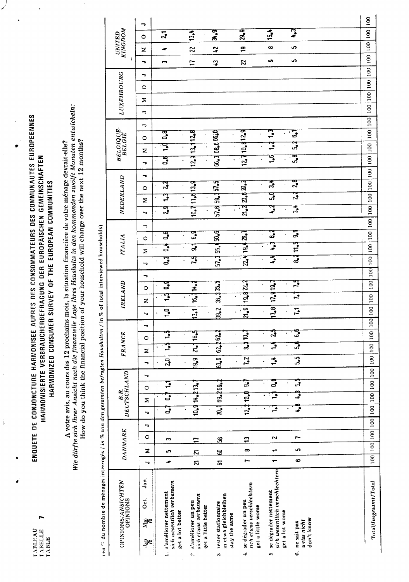$\blacksquare$ 

 $\mathring{\mathring{\mathsf{I}}}$ 

## ENQUETE DE CONJONCTURE HARMONISEE AUPRES DES CONSOMMATEURS DES COMMUNAUTES EUROPEENNES HARMONISIERTE VERBRAUCHERBEFRAGUNG DER EUROPÄISCHEN GEMEINSCHAFTEN HARMONIZED CONSUMER SURVEY OF THE EUROPEAN COMMUNITIES

 $\sqrt{ }$ 

A votre avis, au cours des 12 prochains mois, la situation financière de votre ménage devrait-elle?<br>Wie dürfte sich Ihrer Ansicht nach die finanzielle Lage Ihres Haushalts in den kommenden zwölft Monaten entwickeln:<br>How do

| ten 7 du nombre de ménages interrogés / in % von den gesamten befragten Haushalten |   |              |                |   |           |                     |            |                                               |              |                             |                 |   |                   |             | / in % of total interviewed households) |   |         |               |                     |   |                |              |           |   |                            |                     |                                                                                        |   |            |   |         |                  |        |                                 |                 |  |
|------------------------------------------------------------------------------------|---|--------------|----------------|---|-----------|---------------------|------------|-----------------------------------------------|--------------|-----------------------------|-----------------|---|-------------------|-------------|-----------------------------------------|---|---------|---------------|---------------------|---|----------------|--------------|-----------|---|----------------------------|---------------------|----------------------------------------------------------------------------------------|---|------------|---|---------|------------------|--------|---------------------------------|-----------------|--|
| OPINIONS/ANSICHTEN<br>OPINIONS                                                     |   |              | <b>DANMARK</b> |   |           | DEUTSCHLAND<br>B.R. |            |                                               |              |                             | <b>FRANCE</b>   |   |                   |             | IRELAND                                 |   |         | <b>ITALIA</b> |                     |   |                |              | NEDERLAND |   |                            | BELGIQUE-<br>BELGIE |                                                                                        |   | LUXEMBOURG |   |         |                  |        | <b>KINGDOM</b><br><b>UNITED</b> |                 |  |
| Jan.<br>Öct.<br>й<br>Хар<br>ξR<br>-                                                | ∽ | Σ            | 0              | ٠ | ∽         | Σ                   | $\circ$    | ∍                                             | ∍            | Σ                           | $\circ$         | ∍ | ⇁                 | Σ           | $\circ$                                 | ∍ | ᠆       | Σ             | $\circ$             | → | ⇁              | Σ            | $\circ$   | ⇁ | ь                          | Σ                   | $\circ$                                                                                | っ | っ          | Σ | $\circ$ | ►<br>→           | Σ      |                                 | ∍<br>$\circ$    |  |
| sich wesentlich verbessern<br>1. s'améliorer nettement<br>get a lot better         | ۰ | ഗ            | S              |   | 3         | 3                   | Ξ          |                                               | $\mathbf{a}$ |                             | F               |   | ာ့                | 딸           | ្វី                                     |   | ु       | ैं            | క్<br>$\Box$        |   | ्यु            | ဒ္           | र्द       |   | ទី<br>$\ddot{\phantom{0}}$ | Ż                   | $\mathbf{a}$                                                                           |   |            |   |         |                  | $\sim$ |                                 | $\overline{11}$ |  |
| sich etwas verbessern<br>s'améliorer un peu<br>get a little better<br>çi           | Z | Z            | $\overline{1}$ |   |           | 10.914.213.         |            |                                               | 19.9         | ಸ                           | 16.5            |   | 13.1              |             | 16.714.2                                |   | Ĕ       | द्ध           | ॢऀ                  |   | 10.711.413.9   |              |           |   | 12.913.112.8               |                     |                                                                                        |   |            |   |         | $\ddot{ }$       |        | 22                              | 13.4            |  |
| in etwa gleichbleiben<br>rester stationnaire<br>stay the same<br>$\ddot{ }$        | 5 | $\mathbf{S}$ | $\mathfrak{B}$ |   | $\vec{R}$ |                     | 69.269.2   |                                               | 53.9         |                             | 62,262,2        |   | $\overline{39.2}$ |             | 36.135.5                                |   | $\cdot$ |               | 57.3 55.4 50.6<br>¥ |   | 57.6 59.4 57.5 |              |           |   | 66.3 68.4 66.0             |                     |                                                                                        |   |            |   |         | $\boldsymbol{3}$ |        | $\mathfrak{Z}$                  | त्र<br>मैं,     |  |
| sich etwas verschlechtern<br>se dégrader un peu<br>get a little worse<br>4         | r | $\infty$     | 13             |   |           | 12.2110.            | ॢ          |                                               |              | $\overline{\boldsymbol{3}}$ | $\mathbf{E}$    |   | 2.9               |             | 19.8222                                 |   |         |               | 224 19.4 26.7       |   |                | 21.32.62.4   |           |   | 12.710.812.9               |                     |                                                                                        |   |            |   |         | $\boldsymbol{z}$ |        | $\frac{1}{2}$                   | $\frac{9}{2}$   |  |
| sich wesentlich verschlechtern<br>5. se dégrader nettement<br>get a lot worse      |   |              | 2              |   | ≟         |                     | త          |                                               | 3            | Э                           | ្ស៊             |   | 1,8               |             | 17.919.7                                |   | Ţ       |               | ॢ                   |   | ्रू            | ្ច           | 3.4       |   | $\mathbf{e}$               | ₿                   | $\mathbf{C}$                                                                           |   |            |   |         |                  | တ      | $\infty$                        | 15.4            |  |
| don't know<br>uviss nicht<br>ne sait pas<br>ç.                                     | م | S            |                |   |           |                     | <u>្អូ</u> |                                               | 5.5          | ్లే                         | ្ជី             |   | $\mathbf{r}_1$    | 3           | ご                                       |   |         | 8.411.5       | द्भ                 |   | र्द्भ          | $\mathbf{v}$ | ॢ         |   | ္တန္                       | فى                  | $\mathbf{c}$                                                                           |   |            |   |         |                  | မာ     | မာ                              | <u>្ទ</u>       |  |
|                                                                                    |   |              |                |   |           |                     |            |                                               |              |                             |                 |   |                   |             |                                         |   |         |               |                     |   |                |              |           |   |                            |                     |                                                                                        |   |            |   |         |                  |        |                                 |                 |  |
| Total/Insgesamt/Total                                                              |   |              |                |   |           |                     |            | 100   100   100   100   100   100   100   100 |              | 100 100                     | $\frac{100}{2}$ |   |                   | 100 100 100 |                                         |   |         |               |                     |   |                |              |           |   |                            |                     | 001 100  100  100  001  001  001  001  001  001  001  001  001  00  00  00  00  00  00 |   |            |   |         |                  |        |                                 |                 |  |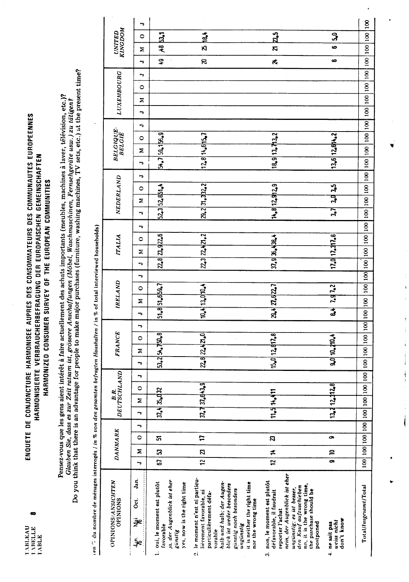## ENQUETE DE CONJONCTURE HARMONISEE AUPRES DES CONSOMMATEURS DES COMMUNAUTES EUROPEENNES HARMONISIERTE VERBRAUCHERBEFRAGUNG DER EUROPÄISCHEN GEMEINSCHAFTEN HARMONIZED CONSUMER SURVEY OF THE EUROPEAN COMMUNITIES

Pensez-vous que les gens aient intérêt à faire actuellement des achats importants (meubles, machines à laver, télévision, etc.)?<br>Glauben Sie, dass es zur Zeit ratsam ist, grössere Anschaffungen (Möbel, Waschmaschinen, Fern

 $\frac{1}{2}$  $\sigma$  of  $\theta$ Ŕ  $\mathbf{r}$  $\mathbf{r}$ Ŕ ستعمله j. Ŕ  $\mathfrak{p}$  of  $\mathfrak{p}_i$  du nombre de ménages intervaée  $i$  in  $\alpha$ ,  $\alpha$ 

|                                                                          |                                       | F                          |                                                                                                                   |                                                                                                                                                             |                                                                                           |                                                                                                                                                                                                                                                               |                                                     |                                                           |
|--------------------------------------------------------------------------|---------------------------------------|----------------------------|-------------------------------------------------------------------------------------------------------------------|-------------------------------------------------------------------------------------------------------------------------------------------------------------|-------------------------------------------------------------------------------------------|---------------------------------------------------------------------------------------------------------------------------------------------------------------------------------------------------------------------------------------------------------------|-----------------------------------------------------|-----------------------------------------------------------|
|                                                                          |                                       | $\circ$                    | $+85.1$                                                                                                           | $\frac{4}{12}$                                                                                                                                              |                                                                                           | $\mathbf{z}_5$                                                                                                                                                                                                                                                | ្ចុ                                                 |                                                           |
|                                                                          | <b>UNITED</b><br>KINGDOM              | Σ                          |                                                                                                                   | R,                                                                                                                                                          |                                                                                           | $\overline{\mathbf{z}}$                                                                                                                                                                                                                                       | မ                                                   |                                                           |
|                                                                          |                                       | F                          | ្នុ                                                                                                               | S.                                                                                                                                                          |                                                                                           | $\star$                                                                                                                                                                                                                                                       | ဖ                                                   |                                                           |
|                                                                          |                                       | F                          |                                                                                                                   |                                                                                                                                                             |                                                                                           |                                                                                                                                                                                                                                                               |                                                     |                                                           |
|                                                                          |                                       | $\circ$                    |                                                                                                                   |                                                                                                                                                             |                                                                                           |                                                                                                                                                                                                                                                               |                                                     |                                                           |
|                                                                          |                                       | Σ                          |                                                                                                                   |                                                                                                                                                             |                                                                                           |                                                                                                                                                                                                                                                               |                                                     |                                                           |
|                                                                          | LUXEMBOURG                            | ÷                          |                                                                                                                   |                                                                                                                                                             |                                                                                           |                                                                                                                                                                                                                                                               |                                                     |                                                           |
|                                                                          |                                       | ∍                          |                                                                                                                   |                                                                                                                                                             |                                                                                           |                                                                                                                                                                                                                                                               |                                                     |                                                           |
|                                                                          | <b>BELGIQUE</b><br>BELGIÉ             | $\circ$                    |                                                                                                                   |                                                                                                                                                             |                                                                                           |                                                                                                                                                                                                                                                               |                                                     |                                                           |
|                                                                          |                                       | Σ                          | $54.7$ $59.155.9$                                                                                                 | 12.8 14.6 15.7                                                                                                                                              |                                                                                           | 18.913.713.2                                                                                                                                                                                                                                                  | 13.6 12.6 4.2                                       |                                                           |
|                                                                          |                                       | ᠇                          |                                                                                                                   |                                                                                                                                                             |                                                                                           |                                                                                                                                                                                                                                                               |                                                     |                                                           |
|                                                                          |                                       |                            |                                                                                                                   |                                                                                                                                                             |                                                                                           |                                                                                                                                                                                                                                                               |                                                     |                                                           |
|                                                                          |                                       | ÷                          |                                                                                                                   |                                                                                                                                                             |                                                                                           |                                                                                                                                                                                                                                                               |                                                     |                                                           |
|                                                                          |                                       | $\circ$                    |                                                                                                                   |                                                                                                                                                             |                                                                                           |                                                                                                                                                                                                                                                               | 3.0 3.5                                             |                                                           |
|                                                                          | NEDERLAND                             | Σ                          | 52.3 52.851.4                                                                                                     | 29.2 31.332.2                                                                                                                                               |                                                                                           | 14.8 12.9 12.9                                                                                                                                                                                                                                                | 37                                                  |                                                           |
|                                                                          |                                       | ⇁                          |                                                                                                                   |                                                                                                                                                             |                                                                                           |                                                                                                                                                                                                                                                               |                                                     |                                                           |
|                                                                          |                                       | ∍                          |                                                                                                                   |                                                                                                                                                             |                                                                                           |                                                                                                                                                                                                                                                               |                                                     |                                                           |
| / in % 01 total interviewed households)                                  | <b>ITALIA</b>                         | $\circ$                    | 228 23922.6                                                                                                       | 22.3   22.421.2                                                                                                                                             |                                                                                           | 37.9936.438.4                                                                                                                                                                                                                                                 | 12.0   12.317.8                                     |                                                           |
|                                                                          |                                       | Σ                          |                                                                                                                   |                                                                                                                                                             |                                                                                           |                                                                                                                                                                                                                                                               |                                                     |                                                           |
|                                                                          |                                       | ь                          |                                                                                                                   |                                                                                                                                                             |                                                                                           |                                                                                                                                                                                                                                                               |                                                     |                                                           |
|                                                                          |                                       | ⇁                          |                                                                                                                   |                                                                                                                                                             |                                                                                           |                                                                                                                                                                                                                                                               |                                                     |                                                           |
|                                                                          | IRELAND                               | $\circ$                    |                                                                                                                   |                                                                                                                                                             |                                                                                           |                                                                                                                                                                                                                                                               |                                                     |                                                           |
|                                                                          |                                       | Σ                          | 51.8 51.6 59.7                                                                                                    | 10.413.010.4                                                                                                                                                |                                                                                           | 29.4 27.6 22.7                                                                                                                                                                                                                                                | 84 7.97.2                                           |                                                           |
|                                                                          |                                       | ∍                          |                                                                                                                   |                                                                                                                                                             |                                                                                           |                                                                                                                                                                                                                                                               |                                                     |                                                           |
|                                                                          |                                       |                            |                                                                                                                   |                                                                                                                                                             |                                                                                           |                                                                                                                                                                                                                                                               |                                                     |                                                           |
|                                                                          | <b>FRANCE</b>                         | $\circ$                    |                                                                                                                   |                                                                                                                                                             |                                                                                           |                                                                                                                                                                                                                                                               |                                                     |                                                           |
|                                                                          |                                       | Σ                          | 53.254.750.8                                                                                                      | 22.8 22.421.0                                                                                                                                               |                                                                                           | $15.0$ $12.817.8$                                                                                                                                                                                                                                             | 9.0 10. 210. 4                                      |                                                           |
|                                                                          |                                       | ∽                          |                                                                                                                   |                                                                                                                                                             |                                                                                           |                                                                                                                                                                                                                                                               |                                                     |                                                           |
|                                                                          | B.R.<br>DEUTSCHLAND                   | F                          |                                                                                                                   |                                                                                                                                                             |                                                                                           |                                                                                                                                                                                                                                                               |                                                     |                                                           |
|                                                                          |                                       | $\circ$                    |                                                                                                                   | 37.7 37.643.9                                                                                                                                               |                                                                                           |                                                                                                                                                                                                                                                               | 13.412.312.8                                        |                                                           |
|                                                                          |                                       | Σ                          | 37.435.032                                                                                                        |                                                                                                                                                             |                                                                                           | 11.514.411                                                                                                                                                                                                                                                    |                                                     |                                                           |
|                                                                          |                                       | ÷                          |                                                                                                                   |                                                                                                                                                             |                                                                                           |                                                                                                                                                                                                                                                               |                                                     |                                                           |
|                                                                          |                                       | ∽                          |                                                                                                                   |                                                                                                                                                             |                                                                                           |                                                                                                                                                                                                                                                               |                                                     |                                                           |
|                                                                          | <b>DANMARK</b>                        | $\circ$                    | ភ                                                                                                                 | 17                                                                                                                                                          |                                                                                           | $\boldsymbol{\mathcal{B}}$                                                                                                                                                                                                                                    | o                                                   |                                                           |
|                                                                          |                                       | Σ                          | ន                                                                                                                 | Z                                                                                                                                                           |                                                                                           |                                                                                                                                                                                                                                                               | $\mathbf{a}$                                        |                                                           |
|                                                                          |                                       | -                          | 67                                                                                                                | $\overline{2}$                                                                                                                                              |                                                                                           | $12 \mid 14$                                                                                                                                                                                                                                                  | ø                                                   | 00   00   00   00   00   00   00   00   00   00   00   00 |
| ualipustualiana islama mesakin mesakin mesan mesan mengan saman terbesar | OPINIONS/ANSICHTEN<br><b>OPINIONS</b> | Jan.<br>ğ.<br>ڝۊ<br>.<br>P | ja, der Augenblick ist eher<br>1. oui, le moment est plutôt<br>yes, now is the right time<br>favorable<br>günstig | le moment n'est ni particu-<br>halb und halb; der Augen-<br>blick ist weder besonders<br>lièrement favorable, ni<br>particulièrement défa-<br>vorable<br>ei | it is neither the right time<br>günstig noch besonders<br>nor the wrong time<br>ungunstig | nein, der Augenblick ist eher<br>non, le moment est plutôt<br>no, it is the wrong time,<br>den Kauf aufzuschieben<br>ungunstig: es ist besser,<br>the purchase should be<br>défavorable, il faudrait<br>reporter l'achat<br>postponed<br>$\ddot{\bm{\delta}}$ | don't know<br>uvciss nicht<br>ne sait pas<br>$\div$ | Total/Insgesamt/Total                                     |

 $\bar{\mathbf{r}}$ 

 $\frac{1}{4}$ 

Í

į.

 $\frac{1}{2}$ 

 $\frac{1}{2}$  and  $\frac{1}{2}$  and  $\frac{1}{2}$  . The sequence of  $\frac{1}{2}$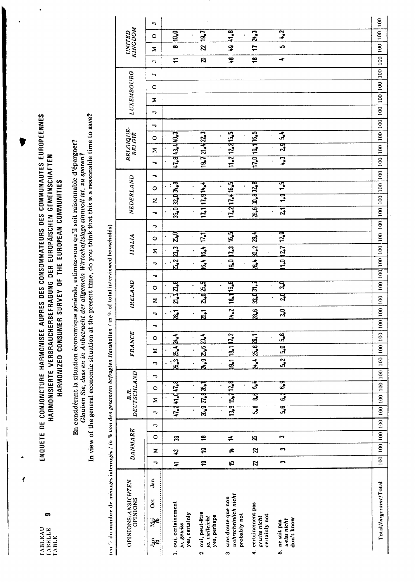ø

 $\overline{\mathbf{f}}$ 

ENQUETE DE CONJONCTURE HARMONISEE AUPRES DES CONSOMMATEURS DES COMMUNAUTES EUROPEENNES HARMONISIERTE VERBRAUCHERBEFRAGUNG DER EUROPÄISCHEN GEMEINSCHAFTEN HARMONIZED CONSUMER SURVEY OF THE EUROPEAN COMMUNITIES

In view of the general economic situation at the present time, do you think that this is a reasonable time to save? En considérant la situation économique générale, estimez-vous qu'il soit raisonnable d'épargner? Glauben Sie, dass en in Anbetracht der allgemein Wirtschaftslage sinnvoll ist, zu sparen?

 $100$  $\overline{\phantom{a}}$ **UNITED**<br>KINGDOM  $|0,0|$  $3.8$  $19.7$  $24.3$  $1.2$  $|100|$  $\circ$  $\ddot{\phantom{0}}$  $\frac{1}{2}$  $\infty$ ာ့  $\overline{r}$ ഄ  $\overline{\mathbf{z}}$ Σ  $|100|$  $\mathbf{g}$ ş  $\frac{8}{1}$  $\ddot{\phantom{0}}$  $\overline{r}$  $\rightarrow$ 100 100 100 100 100 LUXEMBOURG  $\overline{a}$  $\circ$ Σ  $\overline{\phantom{a}}$  $\overline{\phantom{a}}$ **BELGIQUE**<br>BELGIE  $\overline{5}$  $17.0|19.1|16.5|$  $1.843.440.3$  $19.772.423$  $11.2 \mid 12.2 \mid 15.5$  $\ddot{\phantom{1}}$  $\circ$ ्यु  $\geq$  $\overline{\mathbf{3}}$  $\overline{a}$  $\overline{\phantom{a}}$ NEDERLAND 32034.8  $1.5$  $17.1|17.914.4$  $17.2 | 17.4 | 16.5|$ 28.6 30.432.8  $\circ$  $\frac{1}{2}$  $\geq$  $\overline{\mathbf{a}}$  $21$  $\ddot{\phantom{0}}$  $\overline{a}$  $\overline{a}$ (en ", du nombre de ménages interrogés / in % von den gesamten befragten Haushalten / in % of total interviewed households)  $\mathbf{z}_q$ 16,5  $\mathbf{z}$  $\frac{129}{2}$  $\overline{171}$ **ITALIA**  $\circ$  $5.2B.3$ **18.4 B.2**  $1.0 |12.7|$  $6.4 | 16.4|$  $90123$  $\ddot{\phantom{0}}$  $\sum$  $\overline{a}$  $\ddot{\phantom{a}}$  $\overline{\phantom{a}}$ 18416.6  $2.62.5$ IRELAND प्र  $21.32.8$ 33.031.2  $\circ$  $\mathbf{a}$  $\mathbf{z}$  $\frac{1}{2}$  $\mathbf{a_6}$  $\overline{a}$  $\overline{\mathbf{g}}$  $3<sub>0</sub>$  $\ddot{\phantom{0}}$  $\overline{\phantom{a}}$  $\overline{\phantom{a}}$ **FRANCE**  $|a_1|1.2|$  $\overline{3}$ 2.82.1 **B.424.4**  $4.92624$  $\circ$  $\ddot{\phantom{0}}$  $5.0$  $\ddot{\phantom{0}}$  $\mathbf{z}$  $5.2$  $\overline{\tilde{\mathbf{a}}}$  $24.4$  $\overline{a}$  $\overline{a}$  $\ddot{\phantom{0}}$  $\begin{bmatrix} B.R. \\ DEUTSCHLAND \end{bmatrix}$  $\overline{ }$ 15.712.8 ढ़ ್ಯೌ 47.241.41.8  $n$ ,  $\alpha$ ,  $\alpha$ ,  $\alpha$  $\circ$ ತ್ನ  $\boldsymbol{3}$  $\overline{z}$ ्यु ्<br>प ್ಯಾ ងឹ  $\overline{\phantom{a}}$  $100 \mid 100 \mid 100 \mid 100$  $\overline{\phantom{a}}$ **DANMARK**  $\circ$  $\frac{8}{1}$  $\ddot{\phantom{1}}$ ఞ ≠ 8  $\ddot{\phantom{0}}$ ុ<br>ស្រុ  $\neq$  $\boldsymbol{z}$ Σ  $\boldsymbol{\mathfrak{P}}$  $\overline{\phantom{a}}$  $\overline{r}$ ុ<br>ស្រុ  $\mathfrak{p}$ Z  $\ddot{\phantom{1}}$ Jan. OPINIONS/ANSICHTEN<br>OPINIONS Total/Insgesamt/Total uahrscheinlich nicht Oct. sans doute que non 1. oui, certainement 4. certainement pas yes, certainly 2. oui, peut-être probably not ja, vielleicht yes, perhaps gewiss nicht certainly not ne sait pas<br>uviss nicht ्रॅंड don't know ja, gewiss ŠР  $\ddot{\mathbf{c}}$ s.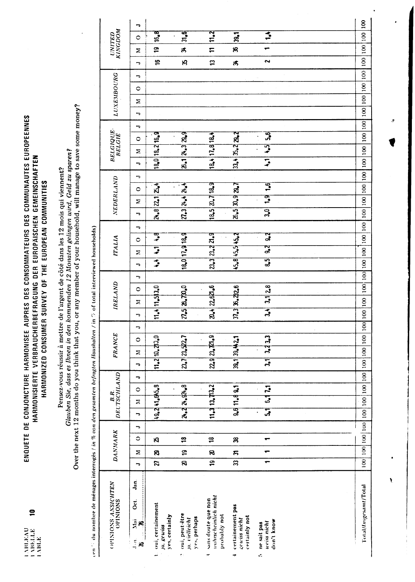$\mathbf{R}$ 

## ENQUETE DE CONJONCTURE HARMONISEE AUPRES DES CONSOMMATEURS DES COMMUNAUTES EUROPEENNES HARMONISIERTE VERBRAUCHERBEFRAGUNG DER EUROPÄISCHEN GEMEINSCHAFTEN HARMONIZED CONSUMER SURVEY OF THE EUROPEAN COMMUNITIES

Pensez-vous réussir à mettre de l'argent de côté dans les 12 mois qui viennent?<br>Glauben Sie, dass es llunen in den kommenden 12 Monaten gelingen wird, Geld zu sparen?<br>Over the next 12 months do you think that you, or any m

|   | I                                                                                                |  |
|---|--------------------------------------------------------------------------------------------------|--|
|   |                                                                                                  |  |
|   |                                                                                                  |  |
|   | $\frac{1}{2}$                                                                                    |  |
|   |                                                                                                  |  |
|   |                                                                                                  |  |
|   |                                                                                                  |  |
|   | $\vdots$                                                                                         |  |
|   |                                                                                                  |  |
|   |                                                                                                  |  |
|   |                                                                                                  |  |
|   | ֦֧֖֖֦֧֖֖֧֖֧֧ׅ֧֧֧ׅ֧ׅ֧ׅ֧ׅ֧ׅ֧ׅ֧֪ׅ֧֪֧ׅ֧֪֧֪֧֚֚֚֚֚֚֚֚֚֚֚֚֚֚֚֚֚֚֚֚֚֚֚֝֬֝֝֝֓֜֝֓֝֬֜֜֜֜֜֜֜<br>Í            |  |
|   |                                                                                                  |  |
|   | $\vdots$                                                                                         |  |
|   |                                                                                                  |  |
|   | ï<br>ì                                                                                           |  |
|   |                                                                                                  |  |
|   | ;                                                                                                |  |
|   |                                                                                                  |  |
|   |                                                                                                  |  |
|   |                                                                                                  |  |
|   | E                                                                                                |  |
|   |                                                                                                  |  |
|   | $\ddot{\phantom{0}}$                                                                             |  |
|   |                                                                                                  |  |
|   |                                                                                                  |  |
|   | $\vdots$                                                                                         |  |
|   |                                                                                                  |  |
|   | į                                                                                                |  |
|   | $\ddot{\phantom{a}}$                                                                             |  |
|   |                                                                                                  |  |
| ; | $\vdots$<br>ì                                                                                    |  |
|   |                                                                                                  |  |
|   | i                                                                                                |  |
|   |                                                                                                  |  |
|   | i                                                                                                |  |
|   |                                                                                                  |  |
|   |                                                                                                  |  |
|   |                                                                                                  |  |
|   |                                                                                                  |  |
|   |                                                                                                  |  |
|   | ä                                                                                                |  |
|   |                                                                                                  |  |
|   |                                                                                                  |  |
|   |                                                                                                  |  |
|   |                                                                                                  |  |
|   | C                                                                                                |  |
|   |                                                                                                  |  |
|   |                                                                                                  |  |
| j |                                                                                                  |  |
|   |                                                                                                  |  |
|   | $\vdots$                                                                                         |  |
|   |                                                                                                  |  |
|   |                                                                                                  |  |
|   |                                                                                                  |  |
|   |                                                                                                  |  |
|   | $\mathbf{I}$                                                                                     |  |
|   | i                                                                                                |  |
|   |                                                                                                  |  |
|   |                                                                                                  |  |
|   | l                                                                                                |  |
|   | ׇ֚֓֡                                                                                             |  |
|   | i<br>١                                                                                           |  |
|   |                                                                                                  |  |
|   | $\ddot{\phantom{a}}$                                                                             |  |
|   | $\frac{1}{2}$                                                                                    |  |
|   |                                                                                                  |  |
|   |                                                                                                  |  |
|   | E<br>C                                                                                           |  |
|   | i<br>١                                                                                           |  |
|   |                                                                                                  |  |
|   |                                                                                                  |  |
|   | í                                                                                                |  |
|   | ֖֧֖֧֧֧֧֧֧֧֧֧֧֧֪֪֪֧֧֪֧֪֧֪֪֪֪֪֧֧֪֧֧֚֚֚֚֚֚֚֚֚֚֚֚֚֚֚֚֚֚֚֚֚֚֚֡֝֬֝֝֟֓֝֬֝֓֝֬֝֓֝֬֝֬֝֬֝֬֝֬֝֬֝֬֝֬֝֬֝֬<br>ĺ |  |
|   |                                                                                                  |  |
|   |                                                                                                  |  |
|   |                                                                                                  |  |
|   |                                                                                                  |  |
|   |                                                                                                  |  |
|   | <br> <br> <br> <br> <br>i                                                                        |  |
|   |                                                                                                  |  |
|   |                                                                                                  |  |
|   | $\vdots$                                                                                         |  |
|   |                                                                                                  |  |
|   | <b>CONTRACTOR</b>                                                                                |  |
|   | Ę                                                                                                |  |
|   |                                                                                                  |  |
|   |                                                                                                  |  |
|   | $\ddot{\phantom{0}}$<br>$\ddot{\phantom{0}}$                                                     |  |

| ern' du nombre de mênages interrogés / in % von den gesamten befragten Haushalten / in 7, of total interviewed households) |              |                              |   |               |                               |   |                |                |   |                       |                       |         |                               |                                  |               |   |                |                    |               |   |                                 |         |   |                                                          |   |            |    |                               |                          |   |
|----------------------------------------------------------------------------------------------------------------------------|--------------|------------------------------|---|---------------|-------------------------------|---|----------------|----------------|---|-----------------------|-----------------------|---------|-------------------------------|----------------------------------|---------------|---|----------------|--------------------|---------------|---|---------------------------------|---------|---|----------------------------------------------------------|---|------------|----|-------------------------------|--------------------------|---|
| OPINIONS ANSICHTEN<br>OPINIONS                                                                                             |              | DANMARK                      |   | DEUTSCHLAND   | B.R.                          |   |                | <b>FRANCE</b>  |   |                       | IRELAND               |         |                               |                                  | <b>ITALIA</b> |   |                |                    | NEDERLAND     |   | BELGIQUE<br>BELGIE              |         |   |                                                          |   | LUXEMBOURG |    |                               | <b>UNITED</b><br>KINGDOM |   |
| Jan.<br>Öct.<br>Ë<br>Ŗ<br>$\mathbf{J}$ or $\mathbf{L}$<br>æ                                                                | ∍            | $\circ$<br>Σ                 | ᅮ | Σ<br>G        | $\circ$                       | ⇁ | ᢑ              | $\circ$<br>Ξ   | ᠆ | ⇁                     | Σ                     | $\circ$ | $\overline{\phantom{0}}$<br>¬ | Ξ                                | $\circ$       | ∍ | F              | Σ                  | $\circ$       | ÷ | $\mathbf{z}$<br>F               | $\circ$ | F | F                                                        | Σ | $\circ$    | ÷, | Σ<br>$\overline{\phantom{0}}$ | $\circ$                  | P |
| oui, certainement<br>yes, certainly<br>ja gewiss                                                                           | ଅ<br>21      | S,                           |   | 19.241.645.8  |                               |   |                | 11.2 10.4 13.0 |   |                       | 11.4 11.5 3.0         |         |                               | $\overline{ }$<br>$\overline{E}$ | ्ध            |   |                | 24.8 22.1 23.4     |               |   | 18.0 13.2 16.3                  |         |   |                                                          |   |            |    | $\tilde{e}$                   | 16.8<br><u>ဗ</u>         |   |
| oui, peut-être<br>yes, perhaps<br>ja vielleicht<br>ę.                                                                      | $\mathbf{g}$ | 18<br>$\overline{a}$         |   | 24.2 24.924.8 |                               |   |                | 23.7 23.522.7  |   |                       | $27.5 \times 10^{-6}$ |         |                               | 18.0 17.9 18.9                   |               |   |                | 27.3   24.4   24.4 |               |   | $26.1$ $24.3$ $29.9$            |         |   |                                                          |   |            |    | 18                            | 31.6<br>ಸ                |   |
| usilinscheinlich nicht<br>sans doute que non<br>probably not                                                               | 9            | $\overline{\mathbf{a}}$<br>R |   | 11.3113.113.2 |                               |   |                | 22.9   23.72.9 |   |                       | 20.4   22.621.6       |         |                               | 23.3   23.2   21.9               |               |   |                | 18.5   20.7   18.9 |               |   | $18.4$ $17.8$ $18.4$            |         |   |                                                          |   |            |    | $\boldsymbol{\Xi}$            | 11   1.2                 |   |
| certainement pas<br>certainly not<br>gewiss nicht<br>┯                                                                     | ਨ<br>33      | g                            |   | 9.6 11.8 9.1  |                               |   |                | 39.1 39.44.2.1 |   |                       | $37.3$ 36.22.6        |         |                               | 45.8 45.5 45.2                   |               |   |                | 26.5   30.9   29.7 |               |   | 33.4 35.2 29.2                  |         |   |                                                          |   |            |    | ಸೆ                            | 39.1<br>8                |   |
| don't know<br>uviss nicht<br>ne sait pas<br>ć,                                                                             |              | ┯                            |   | ্ৰ            | $\frac{5}{2}$<br>$\mathbf{2}$ |   | $\overline{5}$ | 3.433          |   | $\overline{3}$        | 3.1   2.8             |         |                               | ್ಯ<br>$\mathbf{a}$ 5             | ु             |   | 3 <sub>0</sub> | $\frac{9}{2}$      | $\frac{1}{2}$ |   | $\frac{5}{4}$<br>$\overline{5}$ | 5.6     |   |                                                          |   |            |    | 2                             | 1.4                      |   |
|                                                                                                                            |              |                              |   |               |                               |   |                |                |   |                       |                       |         |                               |                                  |               |   |                |                    |               |   |                                 |         |   |                                                          |   |            |    |                               |                          |   |
|                                                                                                                            |              |                              |   |               |                               |   |                |                |   |                       |                       |         |                               |                                  |               |   |                |                    |               |   |                                 |         |   |                                                          |   |            |    |                               |                          |   |
| Total/Insgesamt/Total                                                                                                      |              |                              |   |               |                               |   | 100 100        | 100            |   | $100$   $100$   $100$ |                       |         |                               |                                  |               |   |                |                    |               |   |                                 |         |   | 00   100   100   100   100   100   100   100   100   100 |   |            |    |                               |                          |   |

Ś.

 $\mathbf{r}$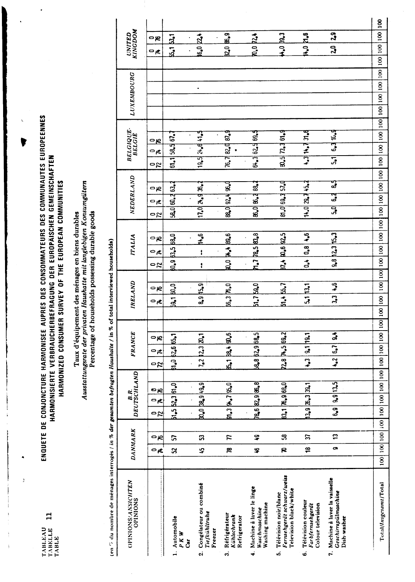ÿ

## ENQUETE DE CONJONCTURE HARMONISEE AUPRES DES CONSOMMATEURS DES COMMUNAUTES EUROPEENNES<br>HARMONISIERTE VERBRAUCHERBEFRAGUNG DER EUROPÄISCHEN GEMEINSCHAFTEN HARMONIZED CONSUMER SURVEY OF THE EUROPEAN COMMUNITIES

# Taux d'équipement des ménages en biens durables<br>Ausstattungsrate der privaten Haushatte mit langlebigen Konsumgütern<br>Percentage of households possessing durable goods

| (en ", du nombre de ménages interrogés / in % der gesamten befragten Haushalte / in % |                |                 |                          |         |                            |                                         |                             |               |                |            |                                                         |     | of total interviewed households) |               |                 |    |                    |      |     |                                  |           |                   |  |                          |                |  |
|---------------------------------------------------------------------------------------|----------------|-----------------|--------------------------|---------|----------------------------|-----------------------------------------|-----------------------------|---------------|----------------|------------|---------------------------------------------------------|-----|----------------------------------|---------------|-----------------|----|--------------------|------|-----|----------------------------------|-----------|-------------------|--|--------------------------|----------------|--|
| OPINIONS/ANSICHTEN<br><b>OPINIONS</b>                                                 |                | <b>DANMARK</b>  |                          |         |                            | DEUTSCHLAND<br>B.R.                     |                             | <b>FRANCE</b> |                |            | IRELAND                                                 |     |                                  |               | ITALIA          |    | NEDERLAND          |      |     | <b>BELGIQUE</b><br><b>BELGIE</b> |           | <b>LUXEMBOURG</b> |  | <b>KINGDOM</b><br>UNITED |                |  |
|                                                                                       | $\mathbf{z}$   | ంల              |                          | ۵<br>21 | ⊃≮                         | ဓမ္မ                                    | ೦೮                          | ∽≭            | ంల్ల           | ⊂≭         |                                                         | ം   | ೦೭                               | $\circ \star$ | ్లల             | ೦೭ | ⊂≭                 | ുറ   | ೦೭  | $\mathbf{z}$                     | <u>ာဗ</u> |                   |  | ⊃≮                       | ු              |  |
| 1. Automobile<br>P K W<br>Ğ                                                           | S              | ធ               |                          |         | 51.5 52.3 61.0             |                                         | <b>1.0 62.6 65.1</b>        |               |                |            | <b>B</b> <sub>3</sub> , B <sub>3</sub> , B <sub>3</sub> |     | ្ល <b>ំ</b>                      |               | 13.568.0        |    | 53.060.263.2       |      |     | $61.1$ 58.5 $67.7$               |           |                   |  | $\overline{a}$           | $\vec{a}$      |  |
| Congélateur ou combiné<br>Tiefkühltruhe<br>Freezer<br>$\ddot{\mathbf{c}}$             | 5              | ន               |                          |         | 0.0 38.9 49.9              |                                         | $7.2$   $2.3$   $20.1$      |               |                |            | 8.9 15.9                                                |     | ŧ                                | t             | 14.6            |    | $17.0$ $26.936.2$  |      |     | 19.512.641.5                     |           |                   |  | 6.0 22.4                 |                |  |
| Réfrigérateur<br>Kühlschrank<br>Refrigerator<br>က်                                    | æ              | 7               |                          |         | $51.3$ $\frac{94.7}{50.0}$ |                                         | B.1 B8.4 90.6               |               |                |            | 56.3   76.0                                             |     | $\mathbf{a}^{\bullet}$           |               | 9.66            |    | 88.0 92.4 96.0     |      |     | 76.7 82.9 87.9                   |           |                   |  | 82.0                     | $\mathbf{g}^2$ |  |
| 4. Machine à laver le linge<br>Washing machine<br>Waschmaschine                       | Ş              | ္ဒ္             |                          |         |                            | 78.6 82.9 86.8                          | 648 629 68.5                |               |                |            | 51,759,0                                                |     | $n_{\bullet}$ 7                  |               | P&5 83.8        |    | 86.0   86.4 88.4   |      |     | 64.3 62.5 69.5                   |           |                   |  | $\overline{\mathbf{R}}$  | $\frac{1}{2}$  |  |
| Fernsehgerät schwarz/weiss<br>Television black/white<br>Télévision noir/blanc<br>ယ်   | R              | အ               |                          |         | 83.1 76.9 68.0             |                                         | <b>728 74.5 69.2</b>        |               |                |            | $5.1$ $5.7$                                             |     | 5.4                              |               | <b>9.6</b> 92.5 |    | 81.0 69.3 57.0     |      |     | 80.5 73.4 61.9                   |           |                   |  | $\ddot{\bullet}$         | B <sub>2</sub> |  |
| Télévision couleur<br>Colour television<br>Far bfernsehgerät<br>ق                     | ₽              | 2               |                          |         | $13.9$ $26.3$ $39.1$       |                                         | $\overline{\phantom{1}1.3}$ | 9.1 19.1      |                |            | 5.1   13.1                                              |     | $\overline{d}$                   | 0,8           | -64             |    | $14.0$ 29.7 $45.4$ |      |     | 4.3114.7314                      |           |                   |  | 14.0                     | ជឹង            |  |
| 7. Machine à laver la vaisselle<br>Geschirrspülmaschine<br>Dish-washer                |                | t.<br>$\bullet$ |                          | 6.9     |                            | 9.9 13.5                                | 4.2   6.7                   |               | $\overline{a}$ |            | $\frac{3}{3}$                                           | 4.6 |                                  |               | 9.8 2.3 15.3    | ॢ  | ु                  | र्दु | द्भ |                                  | 6.316.9   |                   |  | 20                       | 2 <sub>3</sub> |  |
|                                                                                       |                |                 |                          |         |                            |                                         |                             |               |                |            |                                                         |     |                                  |               |                 |    |                    |      |     |                                  |           |                   |  |                          |                |  |
| Total/Insgesamt/Total                                                                 | $\overline{8}$ | $100$ $100$     | $\overline{\mathcal{S}}$ |         |                            | 100   100   100   100   100   100   100 |                             |               |                | 0011001100 |                                                         |     |                                  |               |                 |    |                    |      |     |                                  |           |                   |  |                          |                |  |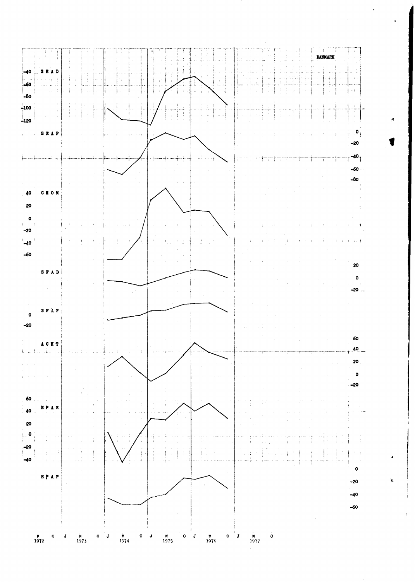

¥.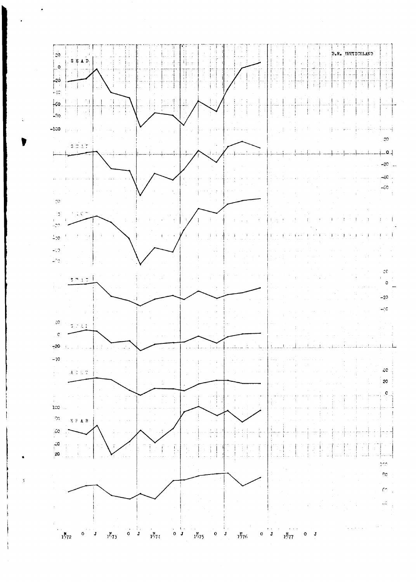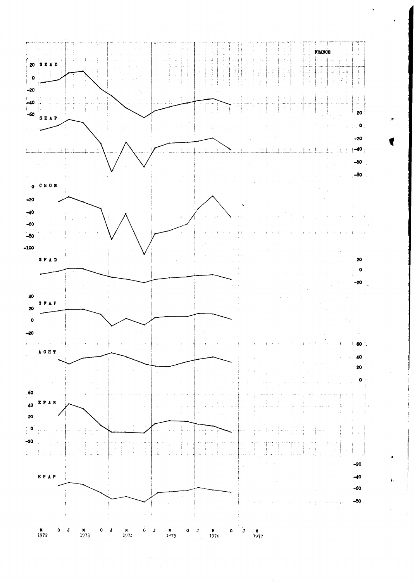

ś

d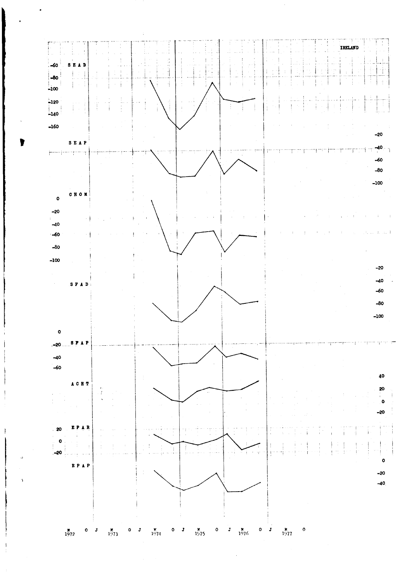

 $\hat{\mathcal{L}}$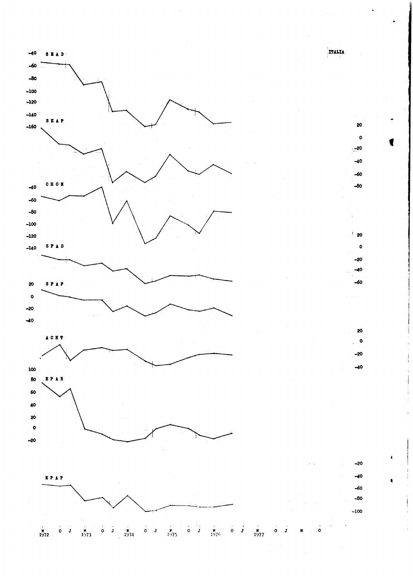

 $-40$ 

 $-60$ 

 $S \to A \bar{D}$ 

**ITALIA**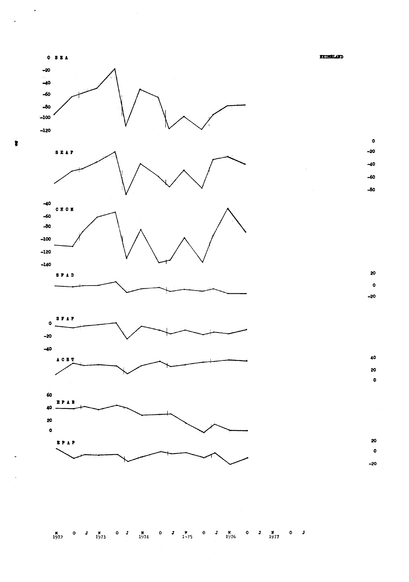$0: 3E A$ **NEDSRLAND**  $-20$  $-40$  $-60$  $-80$  $-100$  $-120$  $\bullet$  $-20$ **SEAP**  $-40$  $-60$  $-80$  $-40$ **CHOM**  $-60$  $-80$  $-100$  $-120$  $-140$ 20 SFAD  $\pmb{\circ}$  $-20$ **SFAP**  $\bullet$  $-20$  $-40$ 40  $A C H T$ 20  $\bullet$ 60 EPAR 40 20  $\bullet$ 20 EPAP  $\pmb{\circ}$  $-20$ 

 $\overline{\phantom{a}}$ 

 $\ddot{\phantom{0}}$ 

 $\bullet$ 

M 0 J M 0 J M 0 J M 0 J M 0 J M 0 J M 0 J M 0 J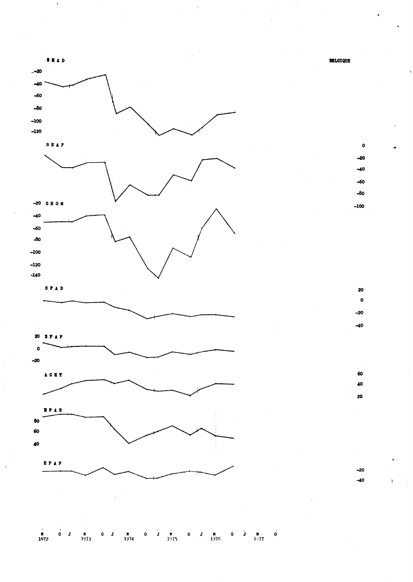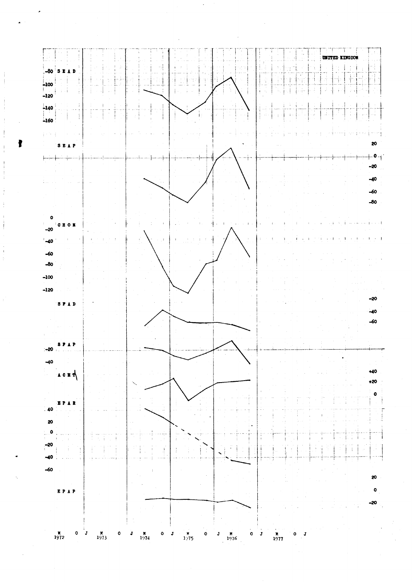

ł